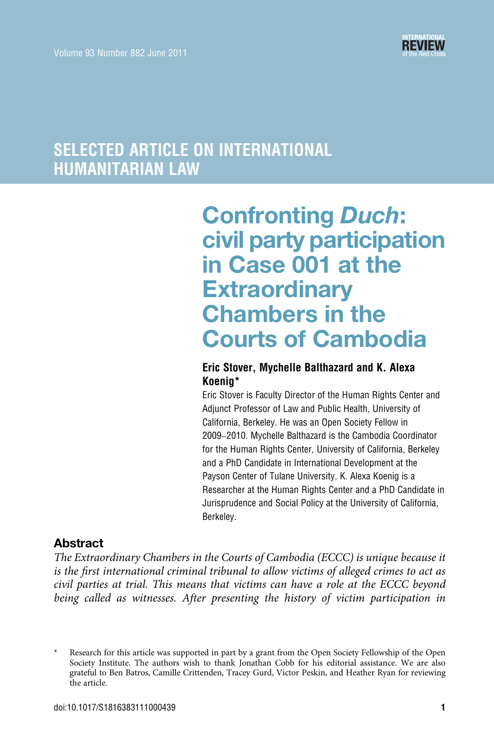

# SELECTED ARTICLE ON INTERNATIONAL HUMANITARIAN LAW

# Confronting Duch: civil party participation in Case 001 at the **Extraordinary** Chambers in the Courts of Cambodia

#### Eric Stover, Mychelle Balthazard and K. Alexa Koenig\*

Eric Stover is Faculty Director of the Human Rights Center and Adjunct Professor of Law and Public Health, University of California, Berkeley. He was an Open Society Fellow in 2009–2010. Mychelle Balthazard is the Cambodia Coordinator for the Human Rights Center, University of California, Berkeley and a PhD Candidate in International Development at the Payson Center of Tulane University. K. Alexa Koenig is a Researcher at the Human Rights Center and a PhD Candidate in Jurisprudence and Social Policy at the University of California, Berkeley.

# Abstract

The Extraordinary Chambers in the Courts of Cambodia (ECCC) is unique because it is the first international criminal tribunal to allow victims of alleged crimes to act as civil parties at trial. This means that victims can have a role at the ECCC beyond being called as witnesses. After presenting the history of victim participation in

Research for this article was supported in part by a grant from the Open Society Fellowship of the Open Society Institute. The authors wish to thank Jonathan Cobb for his editorial assistance. We are also grateful to Ben Batros, Camille Crittenden, Tracey Gurd, Victor Peskin, and Heather Ryan for reviewing the article.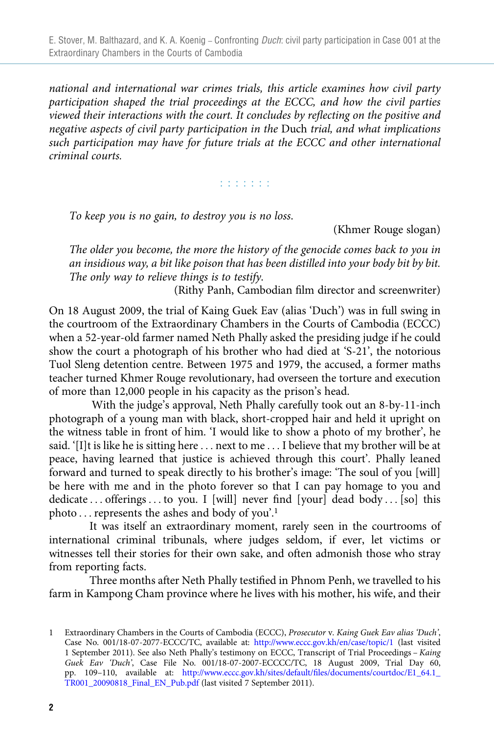national and international war crimes trials, this article examines how civil party participation shaped the trial proceedings at the ECCC, and how the civil parties viewed their interactions with the court. It concludes by reflecting on the positive and negative aspects of civil party participation in the Duch trial, and what implications such participation may have for future trials at the ECCC and other international criminal courts.

**ESSESS** 

To keep you is no gain, to destroy you is no loss.

(Khmer Rouge slogan)

The older you become, the more the history of the genocide comes back to you in an insidious way, a bit like poison that has been distilled into your body bit by bit. The only way to relieve things is to testify.

(Rithy Panh, Cambodian film director and screenwriter)

On 18 August 2009, the trial of Kaing Guek Eav (alias 'Duch') was in full swing in the courtroom of the Extraordinary Chambers in the Courts of Cambodia (ECCC) when a 52-year-old farmer named Neth Phally asked the presiding judge if he could show the court a photograph of his brother who had died at 'S-21', the notorious Tuol Sleng detention centre. Between 1975 and 1979, the accused, a former maths teacher turned Khmer Rouge revolutionary, had overseen the torture and execution of more than 12,000 people in his capacity as the prison's head.

With the judge's approval, Neth Phally carefully took out an 8-by-11-inch photograph of a young man with black, short-cropped hair and held it upright on the witness table in front of him. 'I would like to show a photo of my brother', he said. '[I]t is like he is sitting here ... next to me ... I believe that my brother will be at peace, having learned that justice is achieved through this court'. Phally leaned forward and turned to speak directly to his brother's image: 'The soul of you [will] be here with me and in the photo forever so that I can pay homage to you and dedicate ... offerings ... to you. I [will] never find [your] dead body ... [so] this photo ... represents the ashes and body of you'. 1

It was itself an extraordinary moment, rarely seen in the courtrooms of international criminal tribunals, where judges seldom, if ever, let victims or witnesses tell their stories for their own sake, and often admonish those who stray from reporting facts.

Three months after Neth Phally testified in Phnom Penh, we travelled to his farm in Kampong Cham province where he lives with his mother, his wife, and their

<sup>1</sup> Extraordinary Chambers in the Courts of Cambodia (ECCC), Prosecutor v. Kaing Guek Eav alias 'Duch', Case No. 001/18-07-2077-ECCC/TC, available at: <http://www.eccc.gov.kh/en/case/topic/1> (last visited 1 September 2011). See also Neth Phally's testimony on ECCC, Transcript of Trial Proceedings – Kaing Guek Eav 'Duch', Case File No. 001/18-07-2007-ECCCC/TC, 18 August 2009, Trial Day 60, pp. 109–110, available at: [http://www.eccc.gov.kh/sites/default/](http://www.eccc.gov.kh/sites/default/files/documents/courtdoc/E1_64.1_TR001_20090818_Final_EN_Pub.pdf)files/documents/courtdoc/E1\_64.1\_ [TR001\\_20090818\\_Final\\_EN\\_Pub.pdf](http://www.eccc.gov.kh/sites/default/files/documents/courtdoc/E1_64.1_TR001_20090818_Final_EN_Pub.pdf) (last visited 7 September 2011).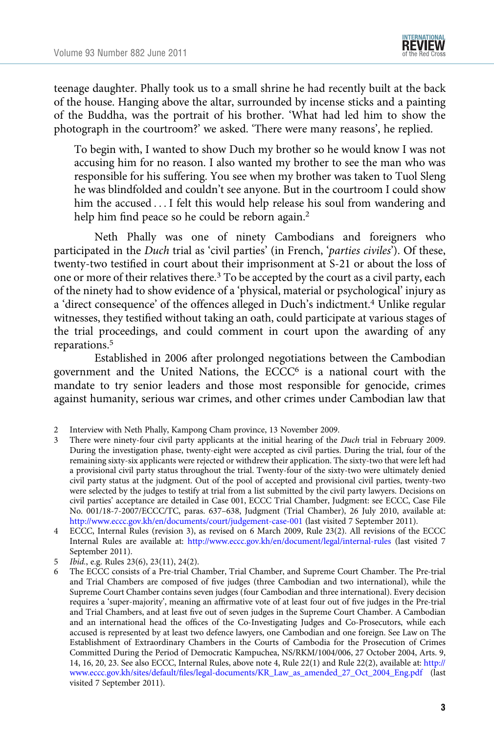teenage daughter. Phally took us to a small shrine he had recently built at the back of the house. Hanging above the altar, surrounded by incense sticks and a painting of the Buddha, was the portrait of his brother. 'What had led him to show the photograph in the courtroom?' we asked. 'There were many reasons', he replied.

To begin with, I wanted to show Duch my brother so he would know I was not accusing him for no reason. I also wanted my brother to see the man who was responsible for his suffering. You see when my brother was taken to Tuol Sleng he was blindfolded and couldn't see anyone. But in the courtroom I could show him the accused ... I felt this would help release his soul from wandering and help him find peace so he could be reborn again.<sup>2</sup>

Neth Phally was one of ninety Cambodians and foreigners who participated in the Duch trial as 'civil parties' (in French, 'parties civiles'). Of these, twenty-two testified in court about their imprisonment at S-21 or about the loss of one or more of their relatives there.<sup>3</sup> To be accepted by the court as a civil party, each of the ninety had to show evidence of a 'physical, material or psychological' injury as a 'direct consequence' of the offences alleged in Duch's indictment.<sup>4</sup> Unlike regular witnesses, they testified without taking an oath, could participate at various stages of the trial proceedings, and could comment in court upon the awarding of any reparations.5

Established in 2006 after prolonged negotiations between the Cambodian government and the United Nations, the ECCC6 is a national court with the mandate to try senior leaders and those most responsible for genocide, crimes against humanity, serious war crimes, and other crimes under Cambodian law that

- There were ninety-four civil party applicants at the initial hearing of the *Duch* trial in February 2009. During the investigation phase, twenty-eight were accepted as civil parties. During the trial, four of the remaining sixty-six applicants were rejected or withdrew their application. The sixty-two that were left had a provisional civil party status throughout the trial. Twenty-four of the sixty-two were ultimately denied civil party status at the judgment. Out of the pool of accepted and provisional civil parties, twenty-two were selected by the judges to testify at trial from a list submitted by the civil party lawyers. Decisions on civil parties' acceptance are detailed in Case 001, ECCC Trial Chamber, Judgment: see ECCC, Case File No. 001/18-7-2007/ECCC/TC, paras. 637–638, Judgment (Trial Chamber), 26 July 2010, available at: <http://www.eccc.gov.kh/en/documents/court/judgement-case-001> (last visited 7 September 2011).
- 4 ECCC, Internal Rules (revision 3), as revised on 6 March 2009, Rule 23(2). All revisions of the ECCC Internal Rules are available at: <http://www.eccc.gov.kh/en/document/legal/internal-rules> (last visited 7 September 2011).
- 5 Ibid., e.g. Rules 23(6), 23(11), 24(2).
- 6 The ECCC consists of a Pre-trial Chamber, Trial Chamber, and Supreme Court Chamber. The Pre-trial and Trial Chambers are composed of five judges (three Cambodian and two international), while the Supreme Court Chamber contains seven judges (four Cambodian and three international). Every decision requires a 'super-majority', meaning an affirmative vote of at least four out of five judges in the Pre-trial and Trial Chambers, and at least five out of seven judges in the Supreme Court Chamber. A Cambodian and an international head the offices of the Co-Investigating Judges and Co-Prosecutors, while each accused is represented by at least two defence lawyers, one Cambodian and one foreign. See Law on The Establishment of Extraordinary Chambers in the Courts of Cambodia for the Prosecution of Crimes Committed During the Period of Democratic Kampuchea, NS/RKM/1004/006, 27 October 2004, Arts. 9, 14, 16, 20, 23. See also ECCC, Internal Rules, above note 4, Rule 22(1) and Rule 22(2), available at: [http://](http://www.eccc.gov.kh/sites/default/files/legal-documents/KR_Law_as_amended_27_Oct_2004_Eng.pdf) www.eccc.gov.kh/sites/default/fi[les/legal-documents/KR\\_Law\\_as\\_amended\\_27\\_Oct\\_2004\\_Eng.pdf](http://www.eccc.gov.kh/sites/default/files/legal-documents/KR_Law_as_amended_27_Oct_2004_Eng.pdf) (last visited 7 September 2011).

<sup>2</sup> Interview with Neth Phally, Kampong Cham province, 13 November 2009.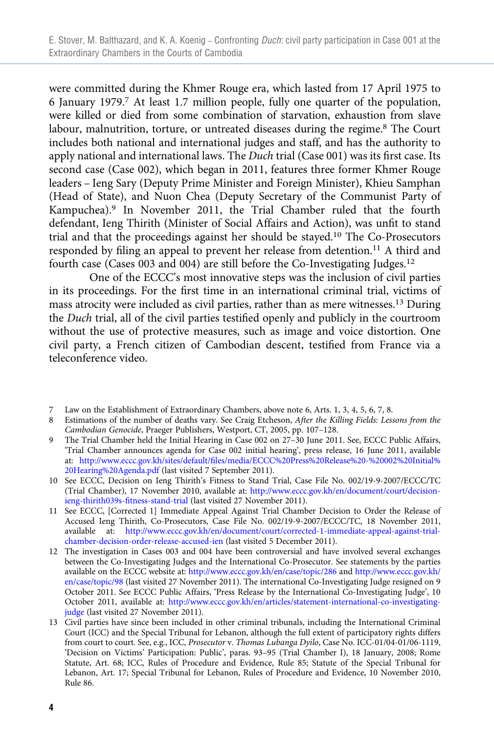were committed during the Khmer Rouge era, which lasted from 17 April 1975 to 6 January 1979.7 At least 1.7 million people, fully one quarter of the population, were killed or died from some combination of starvation, exhaustion from slave labour, malnutrition, torture, or untreated diseases during the regime.<sup>8</sup> The Court includes both national and international judges and staff, and has the authority to apply national and international laws. The Duch trial (Case 001) was its first case. Its second case (Case 002), which began in 2011, features three former Khmer Rouge leaders – Ieng Sary (Deputy Prime Minister and Foreign Minister), Khieu Samphan (Head of State), and Nuon Chea (Deputy Secretary of the Communist Party of Kampuchea).9 In November 2011, the Trial Chamber ruled that the fourth defendant, Ieng Thirith (Minister of Social Affairs and Action), was unfit to stand trial and that the proceedings against her should be stayed.10 The Co-Prosecutors responded by filing an appeal to prevent her release from detention.<sup>11</sup> A third and fourth case (Cases 003 and 004) are still before the Co-Investigating Judges.12

One of the ECCC's most innovative steps was the inclusion of civil parties in its proceedings. For the first time in an international criminal trial, victims of mass atrocity were included as civil parties, rather than as mere witnesses.13 During the Duch trial, all of the civil parties testified openly and publicly in the courtroom without the use of protective measures, such as image and voice distortion. One civil party, a French citizen of Cambodian descent, testified from France via a teleconference video.

- 7 Law on the Establishment of Extraordinary Chambers, above note 6, Arts. 1, 3, 4, 5, 6, 7, 8.
- 8 Estimations of the number of deaths vary. See Craig Etcheson, After the Killing Fields: Lessons from the Cambodian Genocide, Praeger Publishers, Westport, CT, 2005, pp. 107–128.
- 9 The Trial Chamber held the Initial Hearing in Case 002 on 27–30 June 2011. See, ECCC Public Affairs, 'Trial Chamber announces agenda for Case 002 initial hearing', press release, 16 June 2011, available at: [http:/](http://www.eccc.gov.kh/sites/default/files/media/ECCC%20Press%20Release%20-%20002%20Initial%20Hearing%20Agenda.pdf)/www.eccc.gov.kh/sites/default/fi[les/media/ECCC%20Press%20Release%20-%20002%20Initial%](http://www.eccc.gov.kh/sites/default/files/media/ECCC%20Press%20Release%20-%20002%20Initial%20Hearing%20Agenda.pdf) [20Hearing%20Agenda.pdf](http://www.eccc.gov.kh/sites/default/files/media/ECCC%20Press%20Release%20-%20002%20Initial%20Hearing%20Agenda.pdf) (last visited 7 September 2011).
- 10 See ECCC, Decision on Ieng Thirith's Fitness to Stand Trial, Case File No. 002/19-9-2007/ECCC/TC (Trial Chamber), 17 November 2010, available at: [http://www.eccc.gov.kh/en/document/court/decision](http://www.eccc.gov.kh/en/document/court/decision-ieng-thirith039s-fitness-stand-trial)[ieng-thirith039s-](http://www.eccc.gov.kh/en/document/court/decision-ieng-thirith039s-fitness-stand-trial)fitness-stand-trial (last visited 27 November 2011).
- 11 See ECCC, [Corrected 1] Immediate Appeal Against Trial Chamber Decision to Order the Release of Accused Ieng Thirith, Co-Prosecutors, Case File No. 002/19-9-2007/ECCC/TC, 18 November 2011, available at: [http://www.eccc.gov.kh/en/document/court/corrected-1-immediate-appeal-against-trial](http://www.eccc.gov.kh/en/document/court/corrected-1-immediate-appeal-against-trial-chamber-decision-order-release-accused-ien)[chamber-decision-order-release-accused-ien](http://www.eccc.gov.kh/en/document/court/corrected-1-immediate-appeal-against-trial-chamber-decision-order-release-accused-ien) (last visited 5 December 2011).
- 12 The investigation in Cases 003 and 004 have been controversial and have involved several exchanges between the Co-Investigating Judges and the International Co-Prosecutor. See statements by the parties available on the ECCC website at: <http://www.eccc.gov.kh/en/case/topic/286> and [http://www.eccc.gov.kh/](http://www.eccc.gov.kh/en/case/topic/98) [en/case/topic/98](http://www.eccc.gov.kh/en/case/topic/98) (last visited 27 November 2011). The international Co-Investigating Judge resigned on 9 October 2011. See ECCC Public Affairs, 'Press Release by the International Co-Investigating Judge', 10 October 2011, available at: [http://www.eccc.gov.kh/en/articles/statement-international-co-investigating](http://www.eccc.gov.kh/en/articles/statement-international-co-investigating-judge)[judge](http://www.eccc.gov.kh/en/articles/statement-international-co-investigating-judge) (last visited 27 November 2011).
- 13 Civil parties have since been included in other criminal tribunals, including the International Criminal Court (ICC) and the Special Tribunal for Lebanon, although the full extent of participatory rights differs from court to court. See, e.g., ICC, Prosecutor v. Thomas Lubanga Dyilo, Case No. ICC-01/04-01/06-1119, 'Decision on Victims' Participation: Public', paras. 93–95 (Trial Chamber I), 18 January, 2008; Rome Statute, Art. 68; ICC, Rules of Procedure and Evidence, Rule 85; Statute of the Special Tribunal for Lebanon, Art. 17; Special Tribunal for Lebanon, Rules of Procedure and Evidence, 10 November 2010, Rule 86.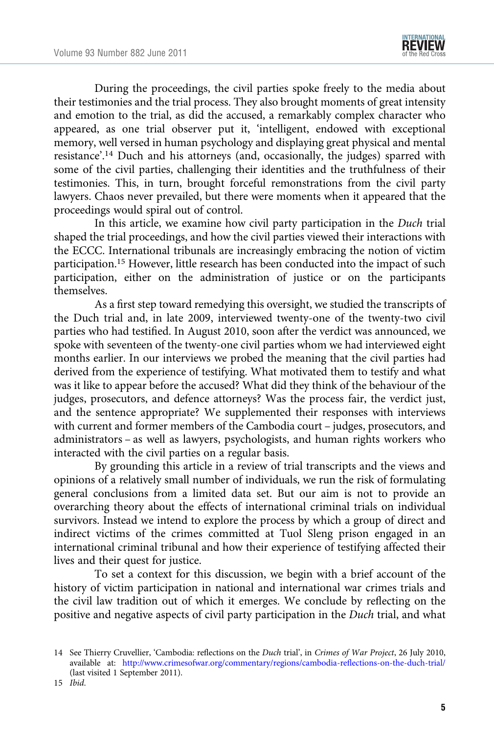

During the proceedings, the civil parties spoke freely to the media about their testimonies and the trial process. They also brought moments of great intensity and emotion to the trial, as did the accused, a remarkably complex character who appeared, as one trial observer put it, 'intelligent, endowed with exceptional memory, well versed in human psychology and displaying great physical and mental resistance'. <sup>14</sup> Duch and his attorneys (and, occasionally, the judges) sparred with some of the civil parties, challenging their identities and the truthfulness of their testimonies. This, in turn, brought forceful remonstrations from the civil party lawyers. Chaos never prevailed, but there were moments when it appeared that the proceedings would spiral out of control.

In this article, we examine how civil party participation in the Duch trial shaped the trial proceedings, and how the civil parties viewed their interactions with the ECCC. International tribunals are increasingly embracing the notion of victim participation.15 However, little research has been conducted into the impact of such participation, either on the administration of justice or on the participants themselves.

As a first step toward remedying this oversight, we studied the transcripts of the Duch trial and, in late 2009, interviewed twenty-one of the twenty-two civil parties who had testified. In August 2010, soon after the verdict was announced, we spoke with seventeen of the twenty-one civil parties whom we had interviewed eight months earlier. In our interviews we probed the meaning that the civil parties had derived from the experience of testifying. What motivated them to testify and what was it like to appear before the accused? What did they think of the behaviour of the judges, prosecutors, and defence attorneys? Was the process fair, the verdict just, and the sentence appropriate? We supplemented their responses with interviews with current and former members of the Cambodia court – judges, prosecutors, and administrators – as well as lawyers, psychologists, and human rights workers who interacted with the civil parties on a regular basis.

By grounding this article in a review of trial transcripts and the views and opinions of a relatively small number of individuals, we run the risk of formulating general conclusions from a limited data set. But our aim is not to provide an overarching theory about the effects of international criminal trials on individual survivors. Instead we intend to explore the process by which a group of direct and indirect victims of the crimes committed at Tuol Sleng prison engaged in an international criminal tribunal and how their experience of testifying affected their lives and their quest for justice.

To set a context for this discussion, we begin with a brief account of the history of victim participation in national and international war crimes trials and the civil law tradition out of which it emerges. We conclude by reflecting on the positive and negative aspects of civil party participation in the Duch trial, and what

<sup>14</sup> See Thierry Cruvellier, 'Cambodia: reflections on the Duch trial', in Crimes of War Project, 26 July 2010, available at: [http://www.crimesofwar.org/commentary/regions/cambodia-re](http://www.crimesofwar.org/commentary/regions/cambodia-reflections-on-the-duch-trial/)flections-on-the-duch-trial/ (last visited 1 September 2011).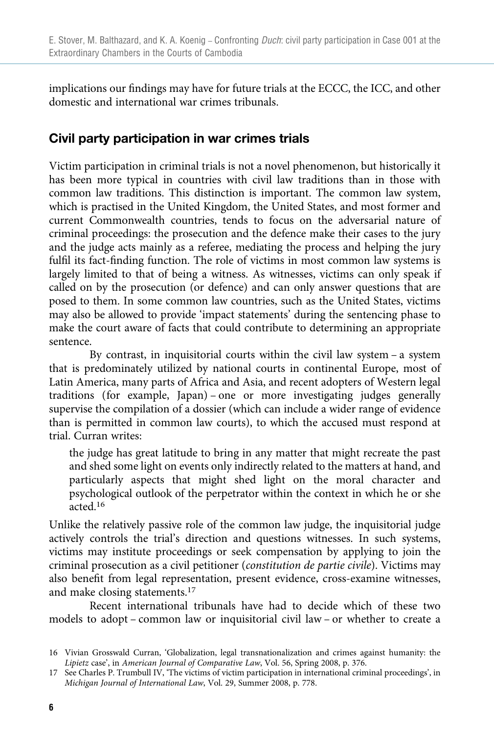implications our findings may have for future trials at the ECCC, the ICC, and other domestic and international war crimes tribunals.

# Civil party participation in war crimes trials

Victim participation in criminal trials is not a novel phenomenon, but historically it has been more typical in countries with civil law traditions than in those with common law traditions. This distinction is important. The common law system, which is practised in the United Kingdom, the United States, and most former and current Commonwealth countries, tends to focus on the adversarial nature of criminal proceedings: the prosecution and the defence make their cases to the jury and the judge acts mainly as a referee, mediating the process and helping the jury fulfil its fact-finding function. The role of victims in most common law systems is largely limited to that of being a witness. As witnesses, victims can only speak if called on by the prosecution (or defence) and can only answer questions that are posed to them. In some common law countries, such as the United States, victims may also be allowed to provide 'impact statements' during the sentencing phase to make the court aware of facts that could contribute to determining an appropriate sentence.

By contrast, in inquisitorial courts within the civil law system – a system that is predominately utilized by national courts in continental Europe, most of Latin America, many parts of Africa and Asia, and recent adopters of Western legal traditions (for example, Japan) – one or more investigating judges generally supervise the compilation of a dossier (which can include a wider range of evidence than is permitted in common law courts), to which the accused must respond at trial. Curran writes:

the judge has great latitude to bring in any matter that might recreate the past and shed some light on events only indirectly related to the matters at hand, and particularly aspects that might shed light on the moral character and psychological outlook of the perpetrator within the context in which he or she acted.<sup>16</sup>

Unlike the relatively passive role of the common law judge, the inquisitorial judge actively controls the trial's direction and questions witnesses. In such systems, victims may institute proceedings or seek compensation by applying to join the criminal prosecution as a civil petitioner (constitution de partie civile). Victims may also benefit from legal representation, present evidence, cross-examine witnesses, and make closing statements.<sup>17</sup>

Recent international tribunals have had to decide which of these two models to adopt – common law or inquisitorial civil law – or whether to create a

<sup>16</sup> Vivian Grosswald Curran, 'Globalization, legal transnationalization and crimes against humanity: the Lipietz case', in American Journal of Comparative Law, Vol. 56, Spring 2008, p. 376.

<sup>17</sup> See Charles P. Trumbull IV, 'The victims of victim participation in international criminal proceedings', in Michigan Journal of International Law, Vol. 29, Summer 2008, p. 778.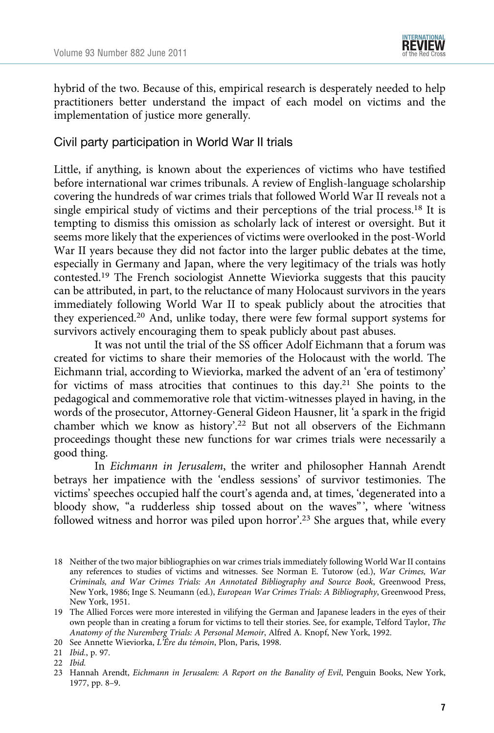

hybrid of the two. Because of this, empirical research is desperately needed to help practitioners better understand the impact of each model on victims and the implementation of justice more generally.

#### Civil party participation in World War II trials

Little, if anything, is known about the experiences of victims who have testified before international war crimes tribunals. A review of English-language scholarship covering the hundreds of war crimes trials that followed World War II reveals not a single empirical study of victims and their perceptions of the trial process.18 It is tempting to dismiss this omission as scholarly lack of interest or oversight. But it seems more likely that the experiences of victims were overlooked in the post-World War II years because they did not factor into the larger public debates at the time, especially in Germany and Japan, where the very legitimacy of the trials was hotly contested.19 The French sociologist Annette Wieviorka suggests that this paucity can be attributed, in part, to the reluctance of many Holocaust survivors in the years immediately following World War II to speak publicly about the atrocities that they experienced.<sup>20</sup> And, unlike today, there were few formal support systems for survivors actively encouraging them to speak publicly about past abuses.

It was not until the trial of the SS officer Adolf Eichmann that a forum was created for victims to share their memories of the Holocaust with the world. The Eichmann trial, according to Wieviorka, marked the advent of an 'era of testimony' for victims of mass atrocities that continues to this day.21 She points to the pedagogical and commemorative role that victim-witnesses played in having, in the words of the prosecutor, Attorney-General Gideon Hausner, lit 'a spark in the frigid chamber which we know as history'. <sup>22</sup> But not all observers of the Eichmann proceedings thought these new functions for war crimes trials were necessarily a good thing.

In Eichmann in Jerusalem, the writer and philosopher Hannah Arendt betrays her impatience with the 'endless sessions' of survivor testimonies. The victims' speeches occupied half the court's agenda and, at times, 'degenerated into a bloody show, "a rudderless ship tossed about on the waves"', where 'witness followed witness and horror was piled upon horror'.<sup>23</sup> She argues that, while every

<sup>18</sup> Neither of the two major bibliographies on war crimes trials immediately following World War II contains any references to studies of victims and witnesses. See Norman E. Tutorow (ed.), War Crimes, War Criminals, and War Crimes Trials: An Annotated Bibliography and Source Book, Greenwood Press, New York, 1986; Inge S. Neumann (ed.), European War Crimes Trials: A Bibliography, Greenwood Press, New York, 1951.

<sup>19</sup> The Allied Forces were more interested in vilifying the German and Japanese leaders in the eyes of their own people than in creating a forum for victims to tell their stories. See, for example, Telford Taylor, The Anatomy of the Nuremberg Trials: A Personal Memoir, Alfred A. Knopf, New York, 1992.

<sup>20</sup> See Annette Wieviorka, L'Ére du témoin, Plon, Paris, 1998.

<sup>21</sup> Ibid., p. 97.

<sup>22</sup> Ibid.

<sup>23</sup> Hannah Arendt, Eichmann in Jerusalem: A Report on the Banality of Evil, Penguin Books, New York, 1977, pp. 8–9.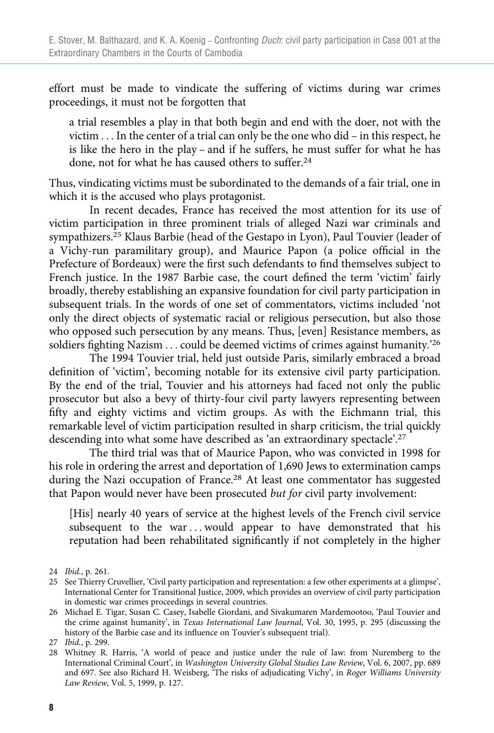effort must be made to vindicate the suffering of victims during war crimes proceedings, it must not be forgotten that

a trial resembles a play in that both begin and end with the doer, not with the victim ... In the center of a trial can only be the one who did – in this respect, he is like the hero in the play – and if he suffers, he must suffer for what he has done, not for what he has caused others to suffer.24

Thus, vindicating victims must be subordinated to the demands of a fair trial, one in which it is the accused who plays protagonist.

In recent decades, France has received the most attention for its use of victim participation in three prominent trials of alleged Nazi war criminals and sympathizers.<sup>25</sup> Klaus Barbie (head of the Gestapo in Lyon), Paul Touvier (leader of a Vichy-run paramilitary group), and Maurice Papon (a police official in the Prefecture of Bordeaux) were the first such defendants to find themselves subject to French justice. In the 1987 Barbie case, the court defined the term 'victim' fairly broadly, thereby establishing an expansive foundation for civil party participation in subsequent trials. In the words of one set of commentators, victims included 'not only the direct objects of systematic racial or religious persecution, but also those who opposed such persecution by any means. Thus, [even] Resistance members, as soldiers fighting Nazism . . . could be deemed victims of crimes against humanity.'<sup>26</sup>

The 1994 Touvier trial, held just outside Paris, similarly embraced a broad definition of 'victim', becoming notable for its extensive civil party participation. By the end of the trial, Touvier and his attorneys had faced not only the public prosecutor but also a bevy of thirty-four civil party lawyers representing between fifty and eighty victims and victim groups. As with the Eichmann trial, this remarkable level of victim participation resulted in sharp criticism, the trial quickly descending into what some have described as 'an extraordinary spectacle'. 27

The third trial was that of Maurice Papon, who was convicted in 1998 for his role in ordering the arrest and deportation of 1,690 Jews to extermination camps during the Nazi occupation of France.<sup>28</sup> At least one commentator has suggested that Papon would never have been prosecuted but for civil party involvement:

[His] nearly 40 years of service at the highest levels of the French civil service subsequent to the war ... would appear to have demonstrated that his reputation had been rehabilitated significantly if not completely in the higher

<sup>24</sup> Ibid., p. 261.

<sup>25</sup> See Thierry Cruvellier, 'Civil party participation and representation: a few other experiments at a glimpse', International Center for Transitional Justice, 2009, which provides an overview of civil party participation in domestic war crimes proceedings in several countries.

<sup>26</sup> Michael E. Tigar, Susan C. Casey, Isabelle Giordani, and Sivakumaren Mardemootoo, 'Paul Touvier and the crime against humanity', in Texas International Law Journal, Vol. 30, 1995, p. 295 (discussing the history of the Barbie case and its influence on Touvier's subsequent trial).

<sup>27</sup> Ibid., p. 299.

<sup>28</sup> Whitney R. Harris, 'A world of peace and justice under the rule of law: from Nuremberg to the International Criminal Court', in Washington University Global Studies Law Review, Vol. 6, 2007, pp. 689 and 697. See also Richard H. Weisberg, 'The risks of adjudicating Vichy', in Roger Williams University Law Review, Vol. 5, 1999, p. 127.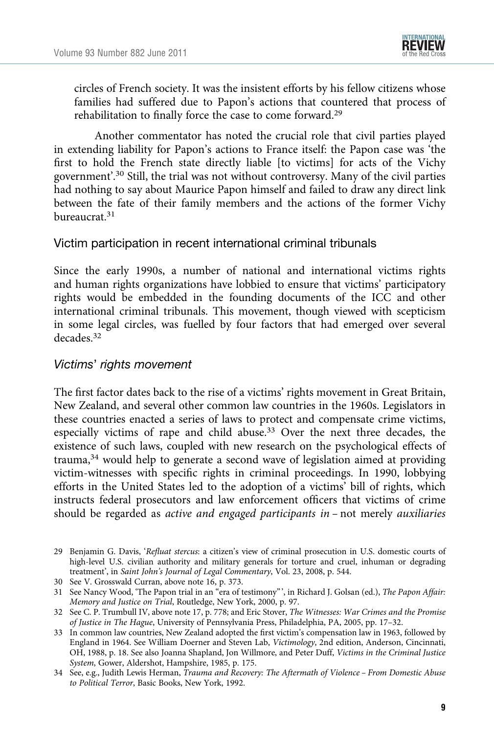circles of French society. It was the insistent efforts by his fellow citizens whose families had suffered due to Papon's actions that countered that process of rehabilitation to finally force the case to come forward.29

Another commentator has noted the crucial role that civil parties played in extending liability for Papon's actions to France itself: the Papon case was 'the first to hold the French state directly liable [to victims] for acts of the Vichy government'. <sup>30</sup> Still, the trial was not without controversy. Many of the civil parties had nothing to say about Maurice Papon himself and failed to draw any direct link between the fate of their family members and the actions of the former Vichy bureaucrat.31

# Victim participation in recent international criminal tribunals

Since the early 1990s, a number of national and international victims rights and human rights organizations have lobbied to ensure that victims' participatory rights would be embedded in the founding documents of the ICC and other international criminal tribunals. This movement, though viewed with scepticism in some legal circles, was fuelled by four factors that had emerged over several decades.32

#### Victims' rights movement

The first factor dates back to the rise of a victims' rights movement in Great Britain, New Zealand, and several other common law countries in the 1960s. Legislators in these countries enacted a series of laws to protect and compensate crime victims, especially victims of rape and child abuse.<sup>33</sup> Over the next three decades, the existence of such laws, coupled with new research on the psychological effects of trauma,<sup>34</sup> would help to generate a second wave of legislation aimed at providing victim-witnesses with specific rights in criminal proceedings. In 1990, lobbying efforts in the United States led to the adoption of a victims' bill of rights, which instructs federal prosecutors and law enforcement officers that victims of crime should be regarded as active and engaged participants in – not merely auxiliaries

30 See V. Grosswald Curran, above note 16, p. 373.

<sup>29</sup> Benjamin G. Davis, 'Refluat stercus: a citizen's view of criminal prosecution in U.S. domestic courts of high-level U.S. civilian authority and military generals for torture and cruel, inhuman or degrading treatment', in Saint John's Journal of Legal Commentary, Vol. 23, 2008, p. 544.

<sup>31</sup> See Nancy Wood, 'The Papon trial in an "era of testimony" ', in Richard J. Golsan (ed.), The Papon Affair: Memory and Justice on Trial, Routledge, New York, 2000, p. 97.

<sup>32</sup> See C. P. Trumbull IV, above note 17, p. 778; and Eric Stover, The Witnesses: War Crimes and the Promise of Justice in The Hague, University of Pennsylvania Press, Philadelphia, PA, 2005, pp. 17–32.

<sup>33</sup> In common law countries, New Zealand adopted the first victim's compensation law in 1963, followed by England in 1964. See William Doerner and Steven Lab, Victimology, 2nd edition, Anderson, Cincinnati, OH, 1988, p. 18. See also Joanna Shapland, Jon Willmore, and Peter Duff, Victims in the Criminal Justice System, Gower, Aldershot, Hampshire, 1985, p. 175.

<sup>34</sup> See, e.g., Judith Lewis Herman, Trauma and Recovery: The Aftermath of Violence – From Domestic Abuse to Political Terror, Basic Books, New York, 1992.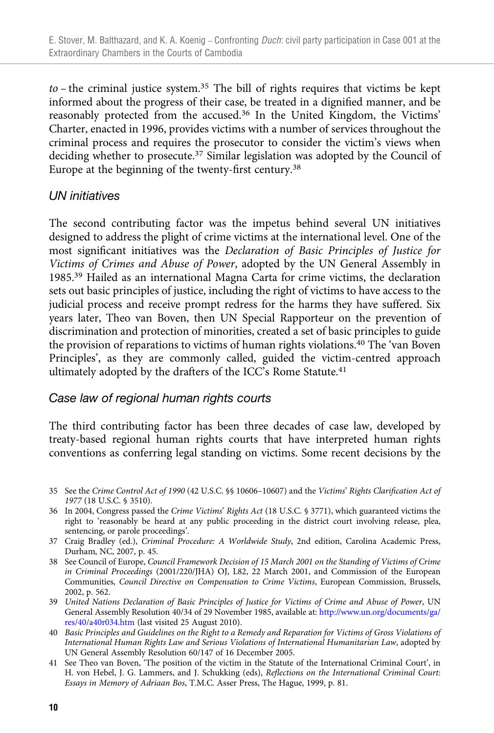$to$  – the criminal justice system.<sup>35</sup> The bill of rights requires that victims be kept informed about the progress of their case, be treated in a dignified manner, and be reasonably protected from the accused.36 In the United Kingdom, the Victims' Charter, enacted in 1996, provides victims with a number of services throughout the criminal process and requires the prosecutor to consider the victim's views when deciding whether to prosecute.37 Similar legislation was adopted by the Council of Europe at the beginning of the twenty-first century.38

#### UN initiatives

The second contributing factor was the impetus behind several UN initiatives designed to address the plight of crime victims at the international level. One of the most significant initiatives was the Declaration of Basic Principles of Justice for Victims of Crimes and Abuse of Power, adopted by the UN General Assembly in 1985.39 Hailed as an international Magna Carta for crime victims, the declaration sets out basic principles of justice, including the right of victims to have access to the judicial process and receive prompt redress for the harms they have suffered. Six years later, Theo van Boven, then UN Special Rapporteur on the prevention of discrimination and protection of minorities, created a set of basic principles to guide the provision of reparations to victims of human rights violations.<sup>40</sup> The 'van Boven Principles', as they are commonly called, guided the victim-centred approach ultimately adopted by the drafters of the ICC's Rome Statute.<sup>41</sup>

# Case law of regional human rights courts

The third contributing factor has been three decades of case law, developed by treaty-based regional human rights courts that have interpreted human rights conventions as conferring legal standing on victims. Some recent decisions by the

- 35 See the Crime Control Act of 1990 (42 U.S.C. §§ 10606–10607) and the Victims' Rights Clarification Act of 1977 (18 U.S.C. § 3510).
- 36 In 2004, Congress passed the Crime Victims' Rights Act (18 U.S.C. § 3771), which guaranteed victims the right to 'reasonably be heard at any public proceeding in the district court involving release, plea, sentencing, or parole proceedings'.
- 37 Craig Bradley (ed.), Criminal Procedure: A Worldwide Study, 2nd edition, Carolina Academic Press, Durham, NC, 2007, p. 45.
- 38 See Council of Europe, Council Framework Decision of 15 March 2001 on the Standing of Victims of Crime in Criminal Proceedings (2001/220/JHA) OJ, L82, 22 March 2001, and Commission of the European Communities, Council Directive on Compensation to Crime Victims, European Commission, Brussels, 2002, p. 562.
- 39 United Nations Declaration of Basic Principles of Justice for Victims of Crime and Abuse of Power, UN General Assembly Resolution 40/34 of 29 November 1985, available at: [http://www.un.org/documents/ga/](http://www.un.org/documents/ga/res/40/a40r034.htm) [res/40/a40r034.htm](http://www.un.org/documents/ga/res/40/a40r034.htm) (last visited 25 August 2010).
- 40 Basic Principles and Guidelines on the Right to a Remedy and Reparation for Victims of Gross Violations of International Human Rights Law and Serious Violations of International Humanitarian Law, adopted by UN General Assembly Resolution 60/147 of 16 December 2005.
- 41 See Theo van Boven, 'The position of the victim in the Statute of the International Criminal Court', in H. von Hebel, J. G. Lammers, and J. Schukking (eds), Reflections on the International Criminal Court: Essays in Memory of Adriaan Bos, T.M.C. Asser Press, The Hague, 1999, p. 81.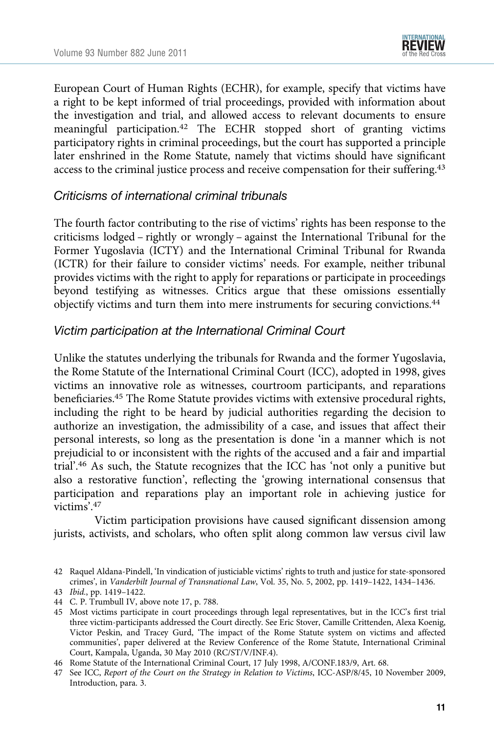

European Court of Human Rights (ECHR), for example, specify that victims have a right to be kept informed of trial proceedings, provided with information about the investigation and trial, and allowed access to relevant documents to ensure meaningful participation.42 The ECHR stopped short of granting victims participatory rights in criminal proceedings, but the court has supported a principle later enshrined in the Rome Statute, namely that victims should have significant access to the criminal justice process and receive compensation for their suffering.<sup>43</sup>

#### Criticisms of international criminal tribunals

The fourth factor contributing to the rise of victims' rights has been response to the criticisms lodged – rightly or wrongly – against the International Tribunal for the Former Yugoslavia (ICTY) and the International Criminal Tribunal for Rwanda (ICTR) for their failure to consider victims' needs. For example, neither tribunal provides victims with the right to apply for reparations or participate in proceedings beyond testifying as witnesses. Critics argue that these omissions essentially objectify victims and turn them into mere instruments for securing convictions.44

#### Victim participation at the International Criminal Court

Unlike the statutes underlying the tribunals for Rwanda and the former Yugoslavia, the Rome Statute of the International Criminal Court (ICC), adopted in 1998, gives victims an innovative role as witnesses, courtroom participants, and reparations beneficiaries.45 The Rome Statute provides victims with extensive procedural rights, including the right to be heard by judicial authorities regarding the decision to authorize an investigation, the admissibility of a case, and issues that affect their personal interests, so long as the presentation is done 'in a manner which is not prejudicial to or inconsistent with the rights of the accused and a fair and impartial trial'. <sup>46</sup> As such, the Statute recognizes that the ICC has 'not only a punitive but also a restorative function', reflecting the 'growing international consensus that participation and reparations play an important role in achieving justice for victims'. 47

Victim participation provisions have caused significant dissension among jurists, activists, and scholars, who often split along common law versus civil law

<sup>42</sup> Raquel Aldana-Pindell, 'In vindication of justiciable victims' rights to truth and justice for state-sponsored crimes', in Vanderbilt Journal of Transnational Law, Vol. 35, No. 5, 2002, pp. 1419–1422, 1434–1436.

<sup>43</sup> Ibid., pp. 1419–1422.

<sup>44</sup> C. P. Trumbull IV, above note 17, p. 788.

<sup>45</sup> Most victims participate in court proceedings through legal representatives, but in the ICC's first trial three victim-participants addressed the Court directly. See Eric Stover, Camille Crittenden, Alexa Koenig, Victor Peskin, and Tracey Gurd, 'The impact of the Rome Statute system on victims and affected communities', paper delivered at the Review Conference of the Rome Statute, International Criminal Court, Kampala, Uganda, 30 May 2010 (RC/ST/V/INF.4).

<sup>46</sup> Rome Statute of the International Criminal Court, 17 July 1998, A/CONF.183/9, Art. 68.

<sup>47</sup> See ICC, Report of the Court on the Strategy in Relation to Victims, ICC-ASP/8/45, 10 November 2009, Introduction, para. 3.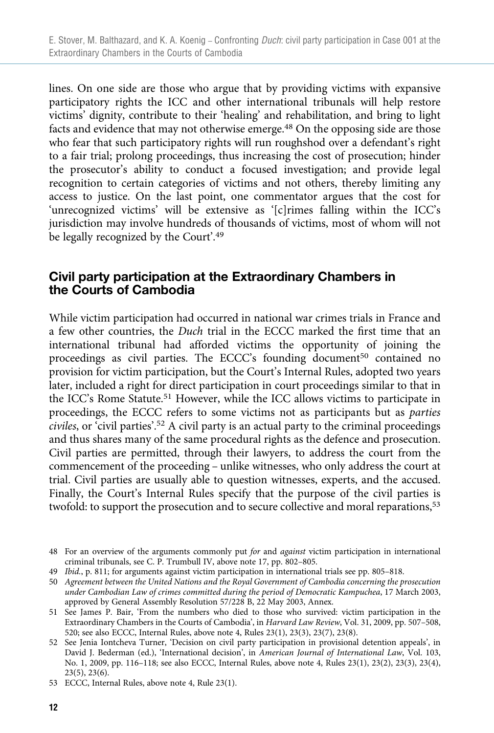lines. On one side are those who argue that by providing victims with expansive participatory rights the ICC and other international tribunals will help restore victims' dignity, contribute to their 'healing' and rehabilitation, and bring to light facts and evidence that may not otherwise emerge.48 On the opposing side are those who fear that such participatory rights will run roughshod over a defendant's right to a fair trial; prolong proceedings, thus increasing the cost of prosecution; hinder the prosecutor's ability to conduct a focused investigation; and provide legal recognition to certain categories of victims and not others, thereby limiting any access to justice. On the last point, one commentator argues that the cost for 'unrecognized victims' will be extensive as '[c]rimes falling within the ICC's jurisdiction may involve hundreds of thousands of victims, most of whom will not be legally recognized by the Court'.<sup>49</sup>

# Civil party participation at the Extraordinary Chambers in the Courts of Cambodia

While victim participation had occurred in national war crimes trials in France and a few other countries, the Duch trial in the ECCC marked the first time that an international tribunal had afforded victims the opportunity of joining the proceedings as civil parties. The ECCC's founding document<sup>50</sup> contained no provision for victim participation, but the Court's Internal Rules, adopted two years later, included a right for direct participation in court proceedings similar to that in the ICC's Rome Statute.<sup>51</sup> However, while the ICC allows victims to participate in proceedings, the ECCC refers to some victims not as participants but as parties civiles, or 'civil parties'.<sup>52</sup> A civil party is an actual party to the criminal proceedings and thus shares many of the same procedural rights as the defence and prosecution. Civil parties are permitted, through their lawyers, to address the court from the commencement of the proceeding – unlike witnesses, who only address the court at trial. Civil parties are usually able to question witnesses, experts, and the accused. Finally, the Court's Internal Rules specify that the purpose of the civil parties is twofold: to support the prosecution and to secure collective and moral reparations,<sup>53</sup>

<sup>48</sup> For an overview of the arguments commonly put for and against victim participation in international criminal tribunals, see C. P. Trumbull IV, above note 17, pp. 802–805.

<sup>49</sup> *Ibid.*, p. 811; for arguments against victim participation in international trials see pp. 805–818.

<sup>50</sup> Agreement between the United Nations and the Royal Government of Cambodia concerning the prosecution under Cambodian Law of crimes committed during the period of Democratic Kampuchea, 17 March 2003, approved by General Assembly Resolution 57/228 B, 22 May 2003, Annex.

<sup>51</sup> See James P. Bair, 'From the numbers who died to those who survived: victim participation in the Extraordinary Chambers in the Courts of Cambodia', in Harvard Law Review, Vol. 31, 2009, pp. 507–508, 520; see also ECCC, Internal Rules, above note 4, Rules 23(1), 23(3), 23(7), 23(8).

<sup>52</sup> See Jenia Iontcheva Turner, 'Decision on civil party participation in provisional detention appeals', in David J. Bederman (ed.), 'International decision', in American Journal of International Law, Vol. 103, No. 1, 2009, pp. 116–118; see also ECCC, Internal Rules, above note 4, Rules 23(1), 23(2), 23(3), 23(4), 23(5), 23(6).

<sup>53</sup> ECCC, Internal Rules, above note 4, Rule 23(1).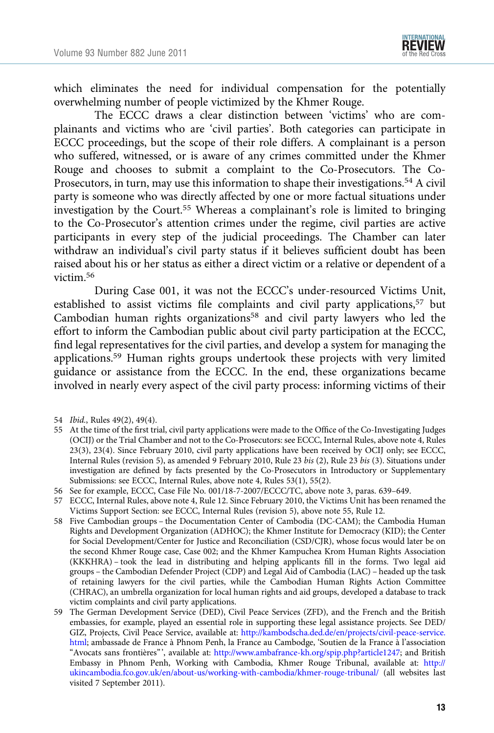which eliminates the need for individual compensation for the potentially overwhelming number of people victimized by the Khmer Rouge.

The ECCC draws a clear distinction between 'victims' who are complainants and victims who are 'civil parties'. Both categories can participate in ECCC proceedings, but the scope of their role differs. A complainant is a person who suffered, witnessed, or is aware of any crimes committed under the Khmer Rouge and chooses to submit a complaint to the Co-Prosecutors. The Co-Prosecutors, in turn, may use this information to shape their investigations.<sup>54</sup> A civil party is someone who was directly affected by one or more factual situations under investigation by the Court.55 Whereas a complainant's role is limited to bringing to the Co-Prosecutor's attention crimes under the regime, civil parties are active participants in every step of the judicial proceedings. The Chamber can later withdraw an individual's civil party status if it believes sufficient doubt has been raised about his or her status as either a direct victim or a relative or dependent of a victim.56

During Case 001, it was not the ECCC's under-resourced Victims Unit, established to assist victims file complaints and civil party applications,<sup>57</sup> but Cambodian human rights organizations<sup>58</sup> and civil party lawyers who led the effort to inform the Cambodian public about civil party participation at the ECCC, find legal representatives for the civil parties, and develop a system for managing the applications.59 Human rights groups undertook these projects with very limited guidance or assistance from the ECCC. In the end, these organizations became involved in nearly every aspect of the civil party process: informing victims of their

- 54 Ibid., Rules 49(2), 49(4).
- 55 At the time of the first trial, civil party applications were made to the Office of the Co-Investigating Judges (OCIJ) or the Trial Chamber and not to the Co-Prosecutors: see ECCC, Internal Rules, above note 4, Rules 23(3), 23(4). Since February 2010, civil party applications have been received by OCIJ only; see ECCC, Internal Rules (revision 5), as amended 9 February 2010, Rule 23 bis (2), Rule 23 bis (3). Situations under investigation are defined by facts presented by the Co-Prosecutors in Introductory or Supplementary Submissions: see ECCC, Internal Rules, above note 4, Rules 53(1), 55(2).
- 56 See for example, ECCC, Case File No. 001/18-7-2007/ECCC/TC, above note 3, paras. 639–649.
- 57 ECCC, Internal Rules, above note 4, Rule 12. Since February 2010, the Victims Unit has been renamed the Victims Support Section: see ECCC, Internal Rules (revision 5), above note 55, Rule 12.
- 58 Five Cambodian groups the Documentation Center of Cambodia (DC-CAM); the Cambodia Human Rights and Development Organization (ADHOC); the Khmer Institute for Democracy (KID); the Center for Social Development/Center for Justice and Reconciliation (CSD/CJR), whose focus would later be on the second Khmer Rouge case, Case 002; and the Khmer Kampuchea Krom Human Rights Association (KKKHRA) – took the lead in distributing and helping applicants fill in the forms. Two legal aid groups – the Cambodian Defender Project (CDP) and Legal Aid of Cambodia (LAC) – headed up the task of retaining lawyers for the civil parties, while the Cambodian Human Rights Action Committee (CHRAC), an umbrella organization for local human rights and aid groups, developed a database to track victim complaints and civil party applications.
- 59 The German Development Service (DED), Civil Peace Services (ZFD), and the French and the British embassies, for example, played an essential role in supporting these legal assistance projects. See DED/ GIZ, Projects, Civil Peace Service, available at: [http://kambodscha.ded.de/en/projects/civil-peace-service.](http://kambodscha.ded.de/en/projects/civil-peace-service.html) [html](http://kambodscha.ded.de/en/projects/civil-peace-service.html); ambassade de France à Phnom Penh, la France au Cambodge, 'Soutien de la France à l'association "Avocats sans frontières" ', available at: <http://www.ambafrance-kh.org/spip.php?article1247>; and British Embassy in Phnom Penh, Working with Cambodia, Khmer Rouge Tribunal, available at: [http://](http://ukincambodia.fco.gov.uk/en/about-us/working-with-cambodia/khmer-rouge-tribunal/) [ukincambodia.fco.gov.uk/en/about-us/working-with-cambodia/khmer-rouge-tribunal/](http://ukincambodia.fco.gov.uk/en/about-us/working-with-cambodia/khmer-rouge-tribunal/) (all websites last visited 7 September 2011).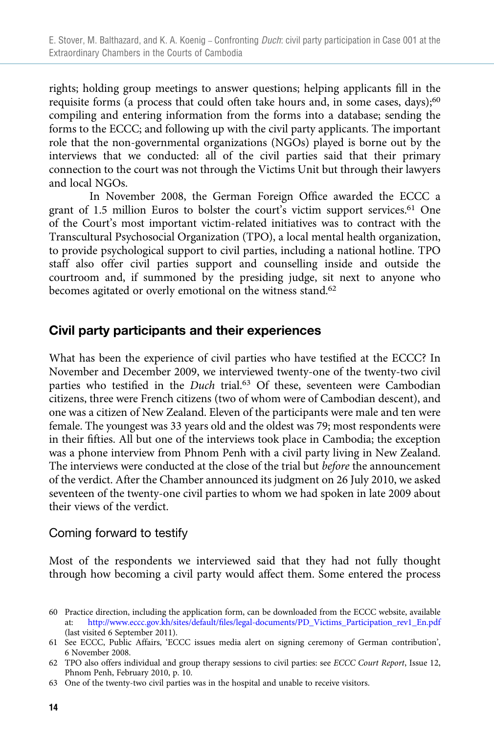rights; holding group meetings to answer questions; helping applicants fill in the requisite forms (a process that could often take hours and, in some cases, days); $60$ compiling and entering information from the forms into a database; sending the forms to the ECCC; and following up with the civil party applicants. The important role that the non-governmental organizations (NGOs) played is borne out by the interviews that we conducted: all of the civil parties said that their primary connection to the court was not through the Victims Unit but through their lawyers and local NGOs.

In November 2008, the German Foreign Office awarded the ECCC a grant of 1.5 million Euros to bolster the court's victim support services.<sup>61</sup> One of the Court's most important victim-related initiatives was to contract with the Transcultural Psychosocial Organization (TPO), a local mental health organization, to provide psychological support to civil parties, including a national hotline. TPO staff also offer civil parties support and counselling inside and outside the courtroom and, if summoned by the presiding judge, sit next to anyone who becomes agitated or overly emotional on the witness stand.<sup>62</sup>

# Civil party participants and their experiences

What has been the experience of civil parties who have testified at the ECCC? In November and December 2009, we interviewed twenty-one of the twenty-two civil parties who testified in the Duch trial.<sup>63</sup> Of these, seventeen were Cambodian citizens, three were French citizens (two of whom were of Cambodian descent), and one was a citizen of New Zealand. Eleven of the participants were male and ten were female. The youngest was 33 years old and the oldest was 79; most respondents were in their fifties. All but one of the interviews took place in Cambodia; the exception was a phone interview from Phnom Penh with a civil party living in New Zealand. The interviews were conducted at the close of the trial but before the announcement of the verdict. After the Chamber announced its judgment on 26 July 2010, we asked seventeen of the twenty-one civil parties to whom we had spoken in late 2009 about their views of the verdict.

#### Coming forward to testify

Most of the respondents we interviewed said that they had not fully thought through how becoming a civil party would affect them. Some entered the process

<sup>60</sup> Practice direction, including the application form, can be downloaded from the ECCC website, available at: [http://](http://www.eccc.gov.kh/sites/default/files/legal-documents/PD_Victims_Participation_rev1_En.pdf)www.eccc.gov.kh/sites/default/fi[les/legal-documents/PD\\_Victims\\_Participation\\_rev1\\_En.pdf](http://www.eccc.gov.kh/sites/default/files/legal-documents/PD_Victims_Participation_rev1_En.pdf) (last visited 6 September 2011).

<sup>61</sup> See ECCC, Public Affairs, 'ECCC issues media alert on signing ceremony of German contribution', 6 November 2008.

<sup>62</sup> TPO also offers individual and group therapy sessions to civil parties: see ECCC Court Report, Issue 12, Phnom Penh, February 2010, p. 10.

<sup>63</sup> One of the twenty-two civil parties was in the hospital and unable to receive visitors.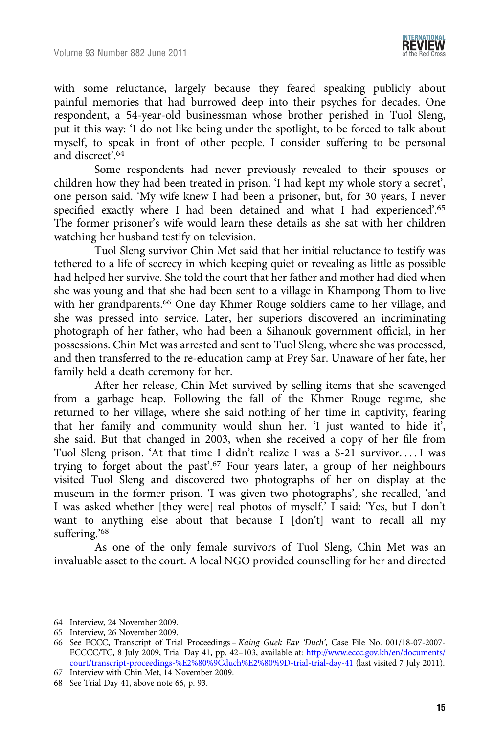with some reluctance, largely because they feared speaking publicly about painful memories that had burrowed deep into their psyches for decades. One respondent, a 54-year-old businessman whose brother perished in Tuol Sleng, put it this way: 'I do not like being under the spotlight, to be forced to talk about myself, to speak in front of other people. I consider suffering to be personal and discreet'. 64

Some respondents had never previously revealed to their spouses or children how they had been treated in prison. 'I had kept my whole story a secret', one person said. 'My wife knew I had been a prisoner, but, for 30 years, I never specified exactly where I had been detained and what I had experienced'.<sup>65</sup> The former prisoner's wife would learn these details as she sat with her children watching her husband testify on television.

Tuol Sleng survivor Chin Met said that her initial reluctance to testify was tethered to a life of secrecy in which keeping quiet or revealing as little as possible had helped her survive. She told the court that her father and mother had died when she was young and that she had been sent to a village in Khampong Thom to live with her grandparents.<sup>66</sup> One day Khmer Rouge soldiers came to her village, and she was pressed into service. Later, her superiors discovered an incriminating photograph of her father, who had been a Sihanouk government official, in her possessions. Chin Met was arrested and sent to Tuol Sleng, where she was processed, and then transferred to the re-education camp at Prey Sar. Unaware of her fate, her family held a death ceremony for her.

After her release, Chin Met survived by selling items that she scavenged from a garbage heap. Following the fall of the Khmer Rouge regime, she returned to her village, where she said nothing of her time in captivity, fearing that her family and community would shun her. 'I just wanted to hide it', she said. But that changed in 2003, when she received a copy of her file from Tuol Sleng prison. 'At that time I didn't realize I was a S-21 survivor. ... I was trying to forget about the past'.<sup>67</sup> Four years later, a group of her neighbours visited Tuol Sleng and discovered two photographs of her on display at the museum in the former prison. 'I was given two photographs', she recalled, 'and I was asked whether [they were] real photos of myself.' I said: 'Yes, but I don't want to anything else about that because I [don't] want to recall all my suffering.'<sup>68</sup>

As one of the only female survivors of Tuol Sleng, Chin Met was an invaluable asset to the court. A local NGO provided counselling for her and directed

- 64 Interview, 24 November 2009.
- 65 Interview, 26 November 2009.

68 See Trial Day 41, above note 66, p. 93.

<sup>66</sup> See ECCC, Transcript of Trial Proceedings – Kaing Guek Eav 'Duch', Case File No. 001/18-07-2007- ECCCC/TC, 8 July 2009, Trial Day 41, pp. 42–103, available at: [http://www.eccc.gov.kh/en/documents/](http://www.eccc.gov.kh/en/documents/court/transcript-proceedings-%E2%80%9Cduch%E2%80%9D-trial-trial-day-41) [court/transcript-proceedings-%E2%80%9Cduch%E2%80%9D-trial-trial-day-41](http://www.eccc.gov.kh/en/documents/court/transcript-proceedings-%E2%80%9Cduch%E2%80%9D-trial-trial-day-41) (last visited 7 July 2011).

<sup>67</sup> Interview with Chin Met, 14 November 2009.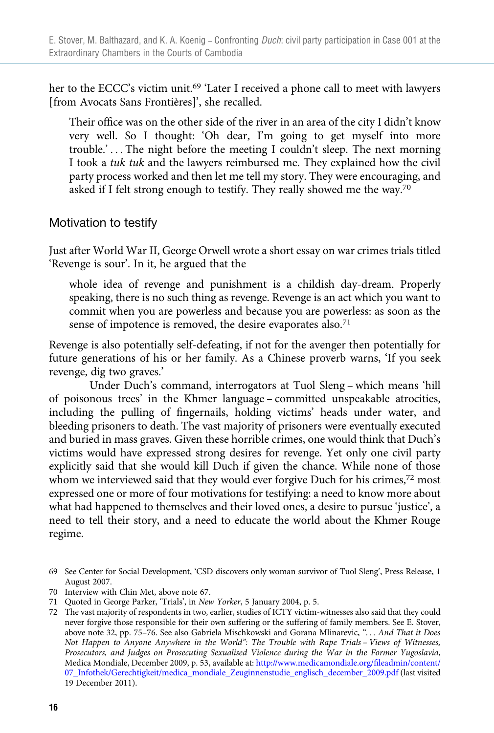her to the ECCC's victim unit.<sup>69</sup> 'Later I received a phone call to meet with lawyers [from Avocats Sans Frontières]', she recalled.

Their office was on the other side of the river in an area of the city I didn't know very well. So I thought: 'Oh dear, I'm going to get myself into more trouble.' ... The night before the meeting I couldn't sleep. The next morning I took a tuk tuk and the lawyers reimbursed me. They explained how the civil party process worked and then let me tell my story. They were encouraging, and asked if I felt strong enough to testify. They really showed me the way.<sup>70</sup>

# Motivation to testify

Just after World War II, George Orwell wrote a short essay on war crimes trials titled 'Revenge is sour'. In it, he argued that the

whole idea of revenge and punishment is a childish day-dream. Properly speaking, there is no such thing as revenge. Revenge is an act which you want to commit when you are powerless and because you are powerless: as soon as the sense of impotence is removed, the desire evaporates also.<sup>71</sup>

Revenge is also potentially self-defeating, if not for the avenger then potentially for future generations of his or her family. As a Chinese proverb warns, 'If you seek revenge, dig two graves.'

Under Duch's command, interrogators at Tuol Sleng – which means 'hill of poisonous trees' in the Khmer language – committed unspeakable atrocities, including the pulling of fingernails, holding victims' heads under water, and bleeding prisoners to death. The vast majority of prisoners were eventually executed and buried in mass graves. Given these horrible crimes, one would think that Duch's victims would have expressed strong desires for revenge. Yet only one civil party explicitly said that she would kill Duch if given the chance. While none of those whom we interviewed said that they would ever forgive Duch for his crimes,<sup>72</sup> most expressed one or more of four motivations for testifying: a need to know more about what had happened to themselves and their loved ones, a desire to pursue 'justice', a need to tell their story, and a need to educate the world about the Khmer Rouge regime.

<sup>69</sup> See Center for Social Development, 'CSD discovers only woman survivor of Tuol Sleng', Press Release, 1 August 2007.

<sup>70</sup> Interview with Chin Met, above note 67.

<sup>71</sup> Quoted in George Parker, 'Trials', in New Yorker, 5 January 2004, p. 5.

<sup>72</sup> The vast majority of respondents in two, earlier, studies of ICTY victim-witnesses also said that they could never forgive those responsible for their own suffering or the suffering of family members. See E. Stover, above note 32, pp. 75–76. See also Gabriela Mischkowski and Gorana Mlinarevic, "... And That it Does Not Happen to Anyone Anywhere in the World": The Trouble with Rape Trials – Views of Witnesses, Prosecutors, and Judges on Prosecuting Sexualised Violence during the War in the Former Yugoslavia, Medica Mondiale, December 2009, p. 53, available at: [http://www.medicamondiale.org/](http://www.medicamondiale.org/fileadmin/content/07_Infothek/Gerechtigkeit/medica_mondiale_Zeuginnenstudie_englisch_december_2009.pdf)fileadmin/content/ [07\\_Infothek/Gerechtigkeit/medica\\_mondiale\\_Zeuginnenstudie\\_englisch\\_december\\_2009.pdf](http://www.medicamondiale.org/fileadmin/content/07_Infothek/Gerechtigkeit/medica_mondiale_Zeuginnenstudie_englisch_december_2009.pdf) (last visited 19 December 2011).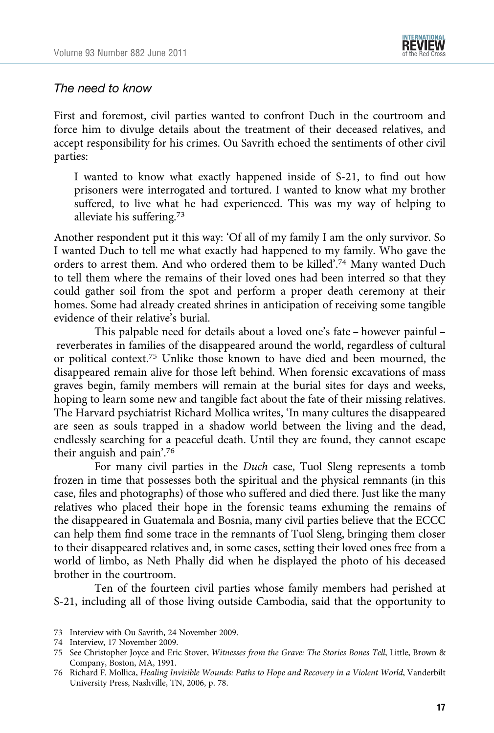

#### The need to know

First and foremost, civil parties wanted to confront Duch in the courtroom and force him to divulge details about the treatment of their deceased relatives, and accept responsibility for his crimes. Ou Savrith echoed the sentiments of other civil parties:

I wanted to know what exactly happened inside of S-21, to find out how prisoners were interrogated and tortured. I wanted to know what my brother suffered, to live what he had experienced. This was my way of helping to alleviate his suffering.<sup>73</sup>

Another respondent put it this way: 'Of all of my family I am the only survivor. So I wanted Duch to tell me what exactly had happened to my family. Who gave the orders to arrest them. And who ordered them to be killed'.<sup>74</sup> Many wanted Duch to tell them where the remains of their loved ones had been interred so that they could gather soil from the spot and perform a proper death ceremony at their homes. Some had already created shrines in anticipation of receiving some tangible evidence of their relative's burial.

This palpable need for details about a loved one's fate – however painful – reverberates in families of the disappeared around the world, regardless of cultural or political context.75 Unlike those known to have died and been mourned, the disappeared remain alive for those left behind. When forensic excavations of mass graves begin, family members will remain at the burial sites for days and weeks, hoping to learn some new and tangible fact about the fate of their missing relatives. The Harvard psychiatrist Richard Mollica writes, 'In many cultures the disappeared are seen as souls trapped in a shadow world between the living and the dead, endlessly searching for a peaceful death. Until they are found, they cannot escape their anguish and pain'. 76

For many civil parties in the Duch case, Tuol Sleng represents a tomb frozen in time that possesses both the spiritual and the physical remnants (in this case, files and photographs) of those who suffered and died there. Just like the many relatives who placed their hope in the forensic teams exhuming the remains of the disappeared in Guatemala and Bosnia, many civil parties believe that the ECCC can help them find some trace in the remnants of Tuol Sleng, bringing them closer to their disappeared relatives and, in some cases, setting their loved ones free from a world of limbo, as Neth Phally did when he displayed the photo of his deceased brother in the courtroom.

Ten of the fourteen civil parties whose family members had perished at S-21, including all of those living outside Cambodia, said that the opportunity to

73 Interview with Ou Savrith, 24 November 2009.

<sup>74</sup> Interview, 17 November 2009.

<sup>75</sup> See Christopher Joyce and Eric Stover, Witnesses from the Grave: The Stories Bones Tell, Little, Brown & Company, Boston, MA, 1991.

<sup>76</sup> Richard F. Mollica, Healing Invisible Wounds: Paths to Hope and Recovery in a Violent World, Vanderbilt University Press, Nashville, TN, 2006, p. 78.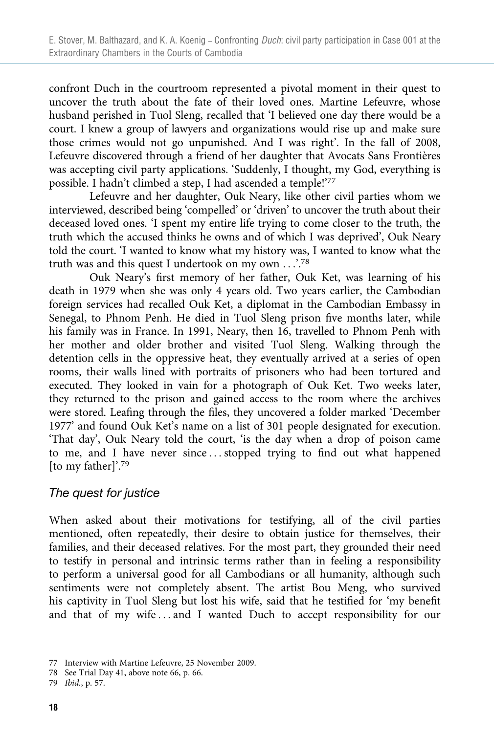confront Duch in the courtroom represented a pivotal moment in their quest to uncover the truth about the fate of their loved ones. Martine Lefeuvre, whose husband perished in Tuol Sleng, recalled that 'I believed one day there would be a court. I knew a group of lawyers and organizations would rise up and make sure those crimes would not go unpunished. And I was right'. In the fall of 2008, Lefeuvre discovered through a friend of her daughter that Avocats Sans Frontières was accepting civil party applications. 'Suddenly, I thought, my God, everything is possible. I hadn't climbed a step, I had ascended a temple!'77

Lefeuvre and her daughter, Ouk Neary, like other civil parties whom we interviewed, described being 'compelled' or 'driven' to uncover the truth about their deceased loved ones. 'I spent my entire life trying to come closer to the truth, the truth which the accused thinks he owns and of which I was deprived', Ouk Neary told the court. 'I wanted to know what my history was, I wanted to know what the truth was and this quest I undertook on my own ...'.<sup>78</sup>

Ouk Neary's first memory of her father, Ouk Ket, was learning of his death in 1979 when she was only 4 years old. Two years earlier, the Cambodian foreign services had recalled Ouk Ket, a diplomat in the Cambodian Embassy in Senegal, to Phnom Penh. He died in Tuol Sleng prison five months later, while his family was in France. In 1991, Neary, then 16, travelled to Phnom Penh with her mother and older brother and visited Tuol Sleng. Walking through the detention cells in the oppressive heat, they eventually arrived at a series of open rooms, their walls lined with portraits of prisoners who had been tortured and executed. They looked in vain for a photograph of Ouk Ket. Two weeks later, they returned to the prison and gained access to the room where the archives were stored. Leafing through the files, they uncovered a folder marked 'December 1977' and found Ouk Ket's name on a list of 301 people designated for execution. 'That day', Ouk Neary told the court, 'is the day when a drop of poison came to me, and I have never since ... stopped trying to find out what happened [to my father]'. 79

# The quest for justice

When asked about their motivations for testifying, all of the civil parties mentioned, often repeatedly, their desire to obtain justice for themselves, their families, and their deceased relatives. For the most part, they grounded their need to testify in personal and intrinsic terms rather than in feeling a responsibility to perform a universal good for all Cambodians or all humanity, although such sentiments were not completely absent. The artist Bou Meng, who survived his captivity in Tuol Sleng but lost his wife, said that he testified for 'my benefit and that of my wife ... and I wanted Duch to accept responsibility for our

<sup>77</sup> Interview with Martine Lefeuvre, 25 November 2009.

<sup>78</sup> See Trial Day 41, above note 66, p. 66.

<sup>79</sup> Ibid., p. 57.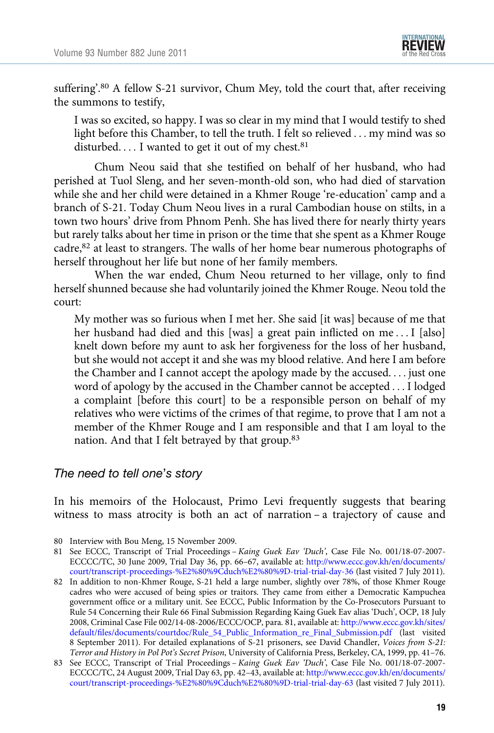suffering'.<sup>80</sup> A fellow S-21 survivor, Chum Mey, told the court that, after receiving the summons to testify,

I was so excited, so happy. I was so clear in my mind that I would testify to shed light before this Chamber, to tell the truth. I felt so relieved ... my mind was so disturbed.... I wanted to get it out of my chest.<sup>81</sup>

Chum Neou said that she testified on behalf of her husband, who had perished at Tuol Sleng, and her seven-month-old son, who had died of starvation while she and her child were detained in a Khmer Rouge 're-education' camp and a branch of S-21. Today Chum Neou lives in a rural Cambodian house on stilts, in a town two hours' drive from Phnom Penh. She has lived there for nearly thirty years but rarely talks about her time in prison or the time that she spent as a Khmer Rouge cadre, $82$  at least to strangers. The walls of her home bear numerous photographs of herself throughout her life but none of her family members.

When the war ended, Chum Neou returned to her village, only to find herself shunned because she had voluntarily joined the Khmer Rouge. Neou told the court:

My mother was so furious when I met her. She said [it was] because of me that her husband had died and this [was] a great pain inflicted on me... I [also] knelt down before my aunt to ask her forgiveness for the loss of her husband, but she would not accept it and she was my blood relative. And here I am before the Chamber and I cannot accept the apology made by the accused. ... just one word of apology by the accused in the Chamber cannot be accepted ... I lodged a complaint [before this court] to be a responsible person on behalf of my relatives who were victims of the crimes of that regime, to prove that I am not a member of the Khmer Rouge and I am responsible and that I am loyal to the nation. And that I felt betrayed by that group.<sup>83</sup>

# The need to tell one's story

In his memoirs of the Holocaust, Primo Levi frequently suggests that bearing witness to mass atrocity is both an act of narration – a trajectory of cause and

<sup>80</sup> Interview with Bou Meng, 15 November 2009.

<sup>81</sup> See ECCC, Transcript of Trial Proceedings – Kaing Guek Eav 'Duch', Case File No. 001/18-07-2007- ECCCC/TC, 30 June 2009, Trial Day 36, pp. 66–67, available at: [http://www.eccc.gov.kh/en/documents/](http://www.eccc.gov.kh/en/documents/court/transcript-proceedings-%E2%80%9Cduch%E2%80%9D-trial-trial-day-36) [court/transcript-proceedings-%E2%80%9Cduch%E2%80%9D-trial-trial-day-36](http://www.eccc.gov.kh/en/documents/court/transcript-proceedings-%E2%80%9Cduch%E2%80%9D-trial-trial-day-36) (last visited 7 July 2011).

<sup>82</sup> In addition to non-Khmer Rouge, S-21 held a large number, slightly over 78%, of those Khmer Rouge cadres who were accused of being spies or traitors. They came from either a Democratic Kampuchea government office or a military unit. See ECCC, Public Information by the Co-Prosecutors Pursuant to Rule 54 Concerning their Rule 66 Final Submission Regarding Kaing Guek Eav alias 'Duch', OCP, 18 July 2008, Criminal Case File 002/14-08-2006/ECCC/OCP, para. 81, available at: [http://www.eccc.gov.kh/sites/](http://www.eccc.gov.kh/sites/default/files/documents/courtdoc/Rule_54_Public_Information_re_Final_Submission.pdf) default/fi[les/documents/courtdoc/Rule\\_54\\_Public\\_Information\\_re\\_Final\\_Submission.pdf](http://www.eccc.gov.kh/sites/default/files/documents/courtdoc/Rule_54_Public_Information_re_Final_Submission.pdf) (last visited 8 September 2011). For detailed explanations of S-21 prisoners, see David Chandler, Voices from S-21: Terror and History in Pol Pot's Secret Prison, University of California Press, Berkeley, CA, 1999, pp. 41–76.

<sup>83</sup> See ECCC, Transcript of Trial Proceedings – Kaing Guek Eav 'Duch', Case File No. 001/18-07-2007- ECCCC/TC, 24 August 2009, Trial Day 63, pp. 42–43, available at: [http://www.eccc.gov.kh/en/documents/](http://www.eccc.gov.kh/en/documents/court/transcript-proceedings-%E2%80%9Cduch%E2%80%9D-trial-trial-day-63) [court/transcript-proceedings-%E2%80%9Cduch%E2%80%9D-trial-trial-day-63](http://www.eccc.gov.kh/en/documents/court/transcript-proceedings-%E2%80%9Cduch%E2%80%9D-trial-trial-day-63) (last visited 7 July 2011).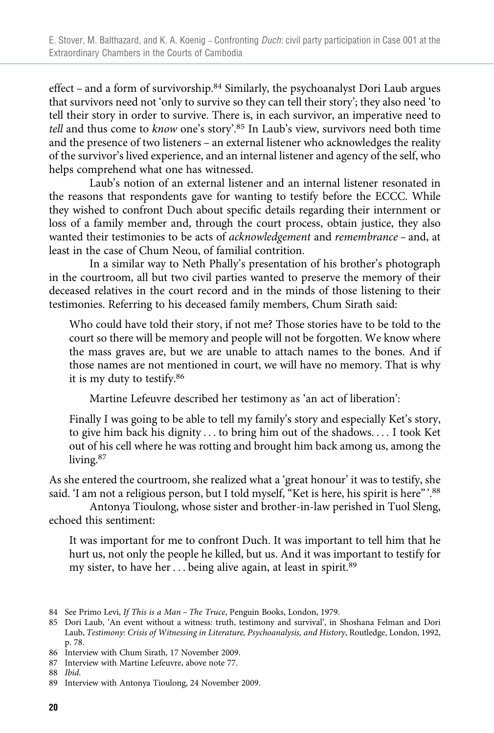effect – and a form of survivorship.<sup>84</sup> Similarly, the psychoanalyst Dori Laub argues that survivors need not 'only to survive so they can tell their story'; they also need 'to tell their story in order to survive. There is, in each survivor, an imperative need to tell and thus come to know one's story'.<sup>85</sup> In Laub's view, survivors need both time and the presence of two listeners – an external listener who acknowledges the reality of the survivor's lived experience, and an internal listener and agency of the self, who helps comprehend what one has witnessed.

Laub's notion of an external listener and an internal listener resonated in the reasons that respondents gave for wanting to testify before the ECCC. While they wished to confront Duch about specific details regarding their internment or loss of a family member and, through the court process, obtain justice, they also wanted their testimonies to be acts of acknowledgement and remembrance - and, at least in the case of Chum Neou, of familial contrition.

In a similar way to Neth Phally's presentation of his brother's photograph in the courtroom, all but two civil parties wanted to preserve the memory of their deceased relatives in the court record and in the minds of those listening to their testimonies. Referring to his deceased family members, Chum Sirath said:

Who could have told their story, if not me? Those stories have to be told to the court so there will be memory and people will not be forgotten. We know where the mass graves are, but we are unable to attach names to the bones. And if those names are not mentioned in court, we will have no memory. That is why it is my duty to testify.86

Martine Lefeuvre described her testimony as 'an act of liberation':

Finally I was going to be able to tell my family's story and especially Ket's story, to give him back his dignity ... to bring him out of the shadows. ... I took Ket out of his cell where he was rotting and brought him back among us, among the living.<sup>87</sup>

As she entered the courtroom, she realized what a 'great honour' it was to testify, she said. 'I am not a religious person, but I told myself, "Ket is here, his spirit is here"'.<sup>88</sup>

Antonya Tioulong, whose sister and brother-in-law perished in Tuol Sleng, echoed this sentiment:

It was important for me to confront Duch. It was important to tell him that he hurt us, not only the people he killed, but us. And it was important to testify for my sister, to have her ... being alive again, at least in spirit.<sup>89</sup>

<sup>84</sup> See Primo Levi, If This is a Man – The Truce, Penguin Books, London, 1979.

<sup>85</sup> Dori Laub, 'An event without a witness: truth, testimony and survival', in Shoshana Felman and Dori Laub, Testimony: Crisis of Witnessing in Literature, Psychoanalysis, and History, Routledge, London, 1992, p. 78.

<sup>86</sup> Interview with Chum Sirath, 17 November 2009.

<sup>87</sup> Interview with Martine Lefeuvre, above note 77.

<sup>88</sup> Ibid.

<sup>89</sup> Interview with Antonya Tioulong, 24 November 2009.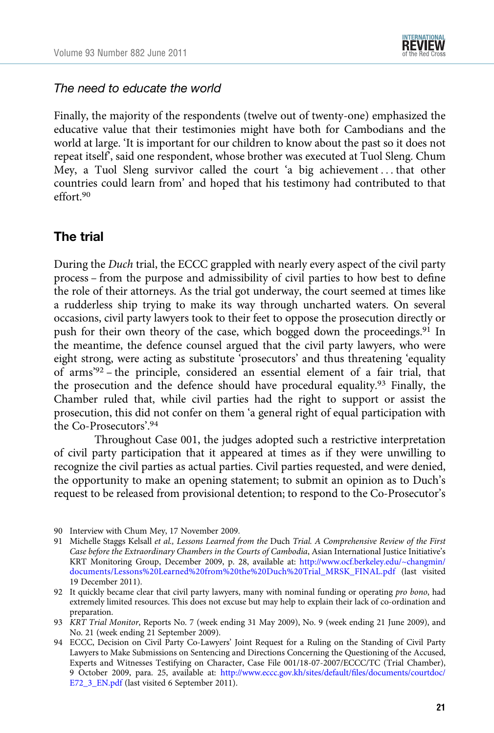

#### The need to educate the world

Finally, the majority of the respondents (twelve out of twenty-one) emphasized the educative value that their testimonies might have both for Cambodians and the world at large. 'It is important for our children to know about the past so it does not repeat itself', said one respondent, whose brother was executed at Tuol Sleng. Chum Mey, a Tuol Sleng survivor called the court 'a big achievement ... that other countries could learn from' and hoped that his testimony had contributed to that effort<sup>90</sup>

# The trial

During the Duch trial, the ECCC grappled with nearly every aspect of the civil party process – from the purpose and admissibility of civil parties to how best to define the role of their attorneys. As the trial got underway, the court seemed at times like a rudderless ship trying to make its way through uncharted waters. On several occasions, civil party lawyers took to their feet to oppose the prosecution directly or push for their own theory of the case, which bogged down the proceedings.<sup>91</sup> In the meantime, the defence counsel argued that the civil party lawyers, who were eight strong, were acting as substitute 'prosecutors' and thus threatening 'equality of arms' <sup>92</sup> – the principle, considered an essential element of a fair trial, that the prosecution and the defence should have procedural equality.<sup>93</sup> Finally, the Chamber ruled that, while civil parties had the right to support or assist the prosecution, this did not confer on them 'a general right of equal participation with the Co-Prosecutors'. 94

Throughout Case 001, the judges adopted such a restrictive interpretation of civil party participation that it appeared at times as if they were unwilling to recognize the civil parties as actual parties. Civil parties requested, and were denied, the opportunity to make an opening statement; to submit an opinion as to Duch's request to be released from provisional detention; to respond to the Co-Prosecutor's

<sup>90</sup> Interview with Chum Mey, 17 November 2009.

<sup>91</sup> Michelle Staggs Kelsall et al., Lessons Learned from the Duch Trial. A Comprehensive Review of the First Case before the Extraordinary Chambers in the Courts of Cambodia, Asian International Justice Initiative's KRT Monitoring Group, December 2009, p. 28, available at: [http://www.ocf.berkeley.edu/~changmin/](http://www.ocf.berkeley.edu/~changmin/documents/Lessons%20Learned%20from%20the%20Duch%20Trial_MRSK_FINAL.pdf) [documents/Lessons%20Learned%20from%20the%20Duch%20Trial\\_MRSK\\_FINAL.pdf](http://www.ocf.berkeley.edu/~changmin/documents/Lessons%20Learned%20from%20the%20Duch%20Trial_MRSK_FINAL.pdf) (last visited 19 December 2011).

<sup>92</sup> It quickly became clear that civil party lawyers, many with nominal funding or operating pro bono, had extremely limited resources. This does not excuse but may help to explain their lack of co-ordination and preparation.

<sup>93</sup> KRT Trial Monitor, Reports No. 7 (week ending 31 May 2009), No. 9 (week ending 21 June 2009), and No. 21 (week ending 21 September 2009).

<sup>94</sup> ECCC, Decision on Civil Party Co-Lawyers' Joint Request for a Ruling on the Standing of Civil Party Lawyers to Make Submissions on Sentencing and Directions Concerning the Questioning of the Accused, Experts and Witnesses Testifying on Character, Case File 001/18-07-2007/ECCC/TC (Trial Chamber), 9 October 2009, para. 25, available at: [http://www.eccc.gov.kh/sites/default/](http://www.eccc.gov.kh/sites/default/files/documents/courtdoc/E72_3_EN.pdf)files/documents/courtdoc/ [E72\\_3\\_EN.pdf](http://www.eccc.gov.kh/sites/default/files/documents/courtdoc/E72_3_EN.pdf) (last visited 6 September 2011).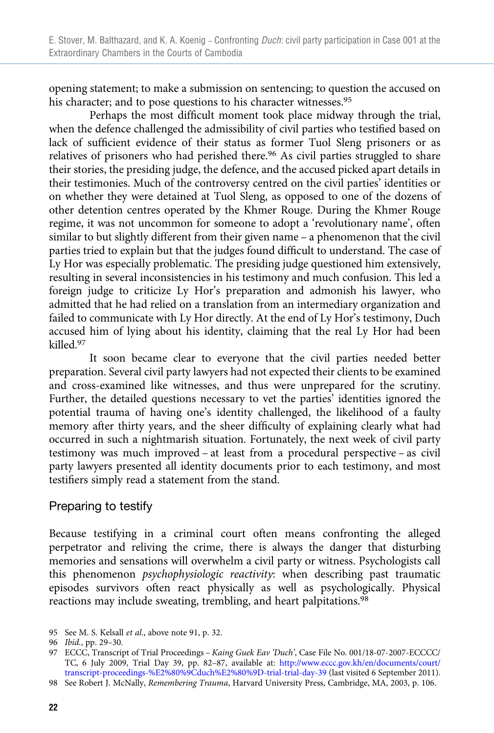opening statement; to make a submission on sentencing; to question the accused on his character; and to pose questions to his character witnesses.<sup>95</sup>

Perhaps the most difficult moment took place midway through the trial, when the defence challenged the admissibility of civil parties who testified based on lack of sufficient evidence of their status as former Tuol Sleng prisoners or as relatives of prisoners who had perished there.<sup>96</sup> As civil parties struggled to share their stories, the presiding judge, the defence, and the accused picked apart details in their testimonies. Much of the controversy centred on the civil parties' identities or on whether they were detained at Tuol Sleng, as opposed to one of the dozens of other detention centres operated by the Khmer Rouge. During the Khmer Rouge regime, it was not uncommon for someone to adopt a 'revolutionary name', often similar to but slightly different from their given name – a phenomenon that the civil parties tried to explain but that the judges found difficult to understand. The case of Ly Hor was especially problematic. The presiding judge questioned him extensively, resulting in several inconsistencies in his testimony and much confusion. This led a foreign judge to criticize Ly Hor's preparation and admonish his lawyer, who admitted that he had relied on a translation from an intermediary organization and failed to communicate with Ly Hor directly. At the end of Ly Hor's testimony, Duch accused him of lying about his identity, claiming that the real Ly Hor had been killed.97

It soon became clear to everyone that the civil parties needed better preparation. Several civil party lawyers had not expected their clients to be examined and cross-examined like witnesses, and thus were unprepared for the scrutiny. Further, the detailed questions necessary to vet the parties' identities ignored the potential trauma of having one's identity challenged, the likelihood of a faulty memory after thirty years, and the sheer difficulty of explaining clearly what had occurred in such a nightmarish situation. Fortunately, the next week of civil party testimony was much improved – at least from a procedural perspective – as civil party lawyers presented all identity documents prior to each testimony, and most testifiers simply read a statement from the stand.

# Preparing to testify

Because testifying in a criminal court often means confronting the alleged perpetrator and reliving the crime, there is always the danger that disturbing memories and sensations will overwhelm a civil party or witness. Psychologists call this phenomenon psychophysiologic reactivity: when describing past traumatic episodes survivors often react physically as well as psychologically. Physical reactions may include sweating, trembling, and heart palpitations.<sup>98</sup>

<sup>95</sup> See M. S. Kelsall et al., above note 91, p. 32.

<sup>96</sup> Ibid., pp. 29–30.

<sup>97</sup> ECCC, Transcript of Trial Proceedings – Kaing Guek Eav 'Duch', Case File No. 001/18-07-2007-ECCCC/ TC, 6 July 2009, Trial Day 39, pp. 82–87, available at: [http://www.eccc.gov.kh/en/documents/court/](http://www.eccc.gov.kh/en/documents/court/transcript-proceedings-%E2%80%9Cduch%E2%80%9D-trial-trial-day-39) [transcript-proceedings-%E2%80%9Cduch%E2%80%9D-trial-trial-day-39](http://www.eccc.gov.kh/en/documents/court/transcript-proceedings-%E2%80%9Cduch%E2%80%9D-trial-trial-day-39) (last visited 6 September 2011).

<sup>98</sup> See Robert J. McNally, Remembering Trauma, Harvard University Press, Cambridge, MA, 2003, p. 106.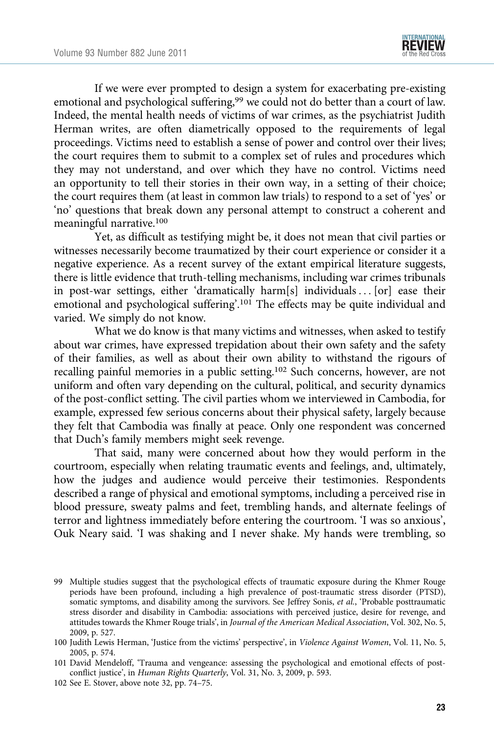

If we were ever prompted to design a system for exacerbating pre-existing emotional and psychological suffering,<sup>99</sup> we could not do better than a court of law. Indeed, the mental health needs of victims of war crimes, as the psychiatrist Judith Herman writes, are often diametrically opposed to the requirements of legal proceedings. Victims need to establish a sense of power and control over their lives; the court requires them to submit to a complex set of rules and procedures which they may not understand, and over which they have no control. Victims need an opportunity to tell their stories in their own way, in a setting of their choice; the court requires them (at least in common law trials) to respond to a set of 'yes' or 'no' questions that break down any personal attempt to construct a coherent and meaningful narrative.100

Yet, as difficult as testifying might be, it does not mean that civil parties or witnesses necessarily become traumatized by their court experience or consider it a negative experience. As a recent survey of the extant empirical literature suggests, there is little evidence that truth-telling mechanisms, including war crimes tribunals in post-war settings, either 'dramatically harm[s] individuals ... [or] ease their emotional and psychological suffering'.<sup>101</sup> The effects may be quite individual and varied. We simply do not know.

What we do know is that many victims and witnesses, when asked to testify about war crimes, have expressed trepidation about their own safety and the safety of their families, as well as about their own ability to withstand the rigours of recalling painful memories in a public setting.<sup>102</sup> Such concerns, however, are not uniform and often vary depending on the cultural, political, and security dynamics of the post-conflict setting. The civil parties whom we interviewed in Cambodia, for example, expressed few serious concerns about their physical safety, largely because they felt that Cambodia was finally at peace. Only one respondent was concerned that Duch's family members might seek revenge.

That said, many were concerned about how they would perform in the courtroom, especially when relating traumatic events and feelings, and, ultimately, how the judges and audience would perceive their testimonies. Respondents described a range of physical and emotional symptoms, including a perceived rise in blood pressure, sweaty palms and feet, trembling hands, and alternate feelings of terror and lightness immediately before entering the courtroom. 'I was so anxious', Ouk Neary said. 'I was shaking and I never shake. My hands were trembling, so

<sup>99</sup> Multiple studies suggest that the psychological effects of traumatic exposure during the Khmer Rouge periods have been profound, including a high prevalence of post-traumatic stress disorder (PTSD), somatic symptoms, and disability among the survivors. See Jeffrey Sonis, et al., 'Probable posttraumatic stress disorder and disability in Cambodia: associations with perceived justice, desire for revenge, and attitudes towards the Khmer Rouge trials', in Journal of the American Medical Association, Vol. 302, No. 5, 2009, p. 527.

<sup>100</sup> Judith Lewis Herman, 'Justice from the victims' perspective', in Violence Against Women, Vol. 11, No. 5, 2005, p. 574.

<sup>101</sup> David Mendeloff, 'Trauma and vengeance: assessing the psychological and emotional effects of postconflict justice', in Human Rights Quarterly, Vol. 31, No. 3, 2009, p. 593.

<sup>102</sup> See E. Stover, above note 32, pp. 74–75.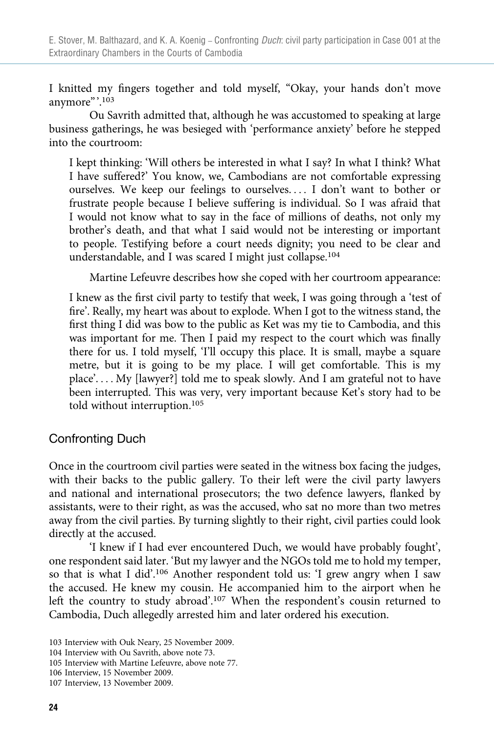I knitted my fingers together and told myself, "Okay, your hands don't move anymore"'.<sup>103</sup>

Ou Savrith admitted that, although he was accustomed to speaking at large business gatherings, he was besieged with 'performance anxiety' before he stepped into the courtroom:

I kept thinking: 'Will others be interested in what I say? In what I think? What I have suffered?' You know, we, Cambodians are not comfortable expressing ourselves. We keep our feelings to ourselves. ... I don't want to bother or frustrate people because I believe suffering is individual. So I was afraid that I would not know what to say in the face of millions of deaths, not only my brother's death, and that what I said would not be interesting or important to people. Testifying before a court needs dignity; you need to be clear and understandable, and I was scared I might just collapse.104

Martine Lefeuvre describes how she coped with her courtroom appearance:

I knew as the first civil party to testify that week, I was going through a 'test of fire'. Really, my heart was about to explode. When I got to the witness stand, the first thing I did was bow to the public as Ket was my tie to Cambodia, and this was important for me. Then I paid my respect to the court which was finally there for us. I told myself, 'I'll occupy this place. It is small, maybe a square metre, but it is going to be my place. I will get comfortable. This is my place'. ... My [lawyer?] told me to speak slowly. And I am grateful not to have been interrupted. This was very, very important because Ket's story had to be told without interruption.105

# Confronting Duch

Once in the courtroom civil parties were seated in the witness box facing the judges, with their backs to the public gallery. To their left were the civil party lawyers and national and international prosecutors; the two defence lawyers, flanked by assistants, were to their right, as was the accused, who sat no more than two metres away from the civil parties. By turning slightly to their right, civil parties could look directly at the accused.

'I knew if I had ever encountered Duch, we would have probably fought', one respondent said later. 'But my lawyer and the NGOs told me to hold my temper, so that is what I did'.<sup>106</sup> Another respondent told us: 'I grew angry when I saw the accused. He knew my cousin. He accompanied him to the airport when he left the country to study abroad'.<sup>107</sup> When the respondent's cousin returned to Cambodia, Duch allegedly arrested him and later ordered his execution.

<sup>103</sup> Interview with Ouk Neary, 25 November 2009.

<sup>104</sup> Interview with Ou Savrith, above note 73.

<sup>105</sup> Interview with Martine Lefeuvre, above note 77.

<sup>106</sup> Interview, 15 November 2009.

<sup>107</sup> Interview, 13 November 2009.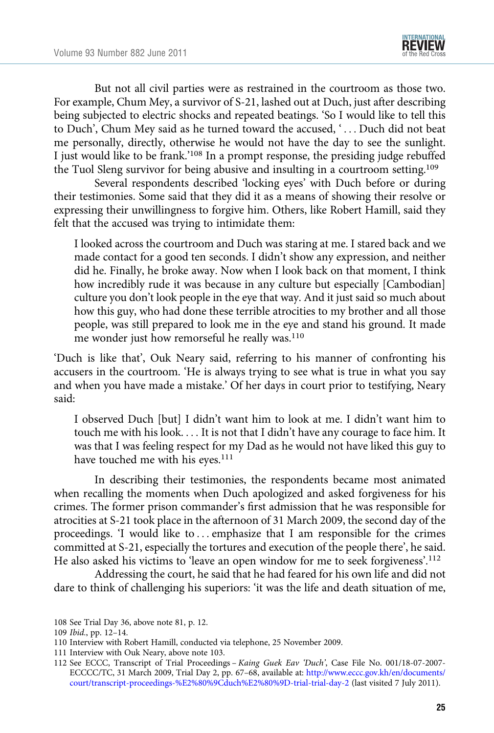

But not all civil parties were as restrained in the courtroom as those two. For example, Chum Mey, a survivor of S-21, lashed out at Duch, just after describing being subjected to electric shocks and repeated beatings. 'So I would like to tell this to Duch', Chum Mey said as he turned toward the accused, ' ... Duch did not beat me personally, directly, otherwise he would not have the day to see the sunlight. I just would like to be frank.'<sup>108</sup> In a prompt response, the presiding judge rebuffed the Tuol Sleng survivor for being abusive and insulting in a courtroom setting.109

Several respondents described 'locking eyes' with Duch before or during their testimonies. Some said that they did it as a means of showing their resolve or expressing their unwillingness to forgive him. Others, like Robert Hamill, said they felt that the accused was trying to intimidate them:

I looked across the courtroom and Duch was staring at me. I stared back and we made contact for a good ten seconds. I didn't show any expression, and neither did he. Finally, he broke away. Now when I look back on that moment, I think how incredibly rude it was because in any culture but especially [Cambodian] culture you don't look people in the eye that way. And it just said so much about how this guy, who had done these terrible atrocities to my brother and all those people, was still prepared to look me in the eye and stand his ground. It made me wonder just how remorseful he really was.<sup>110</sup>

'Duch is like that', Ouk Neary said, referring to his manner of confronting his accusers in the courtroom. 'He is always trying to see what is true in what you say and when you have made a mistake.' Of her days in court prior to testifying, Neary said:

I observed Duch [but] I didn't want him to look at me. I didn't want him to touch me with his look. ... It is not that I didn't have any courage to face him. It was that I was feeling respect for my Dad as he would not have liked this guy to have touched me with his eyes.<sup>111</sup>

In describing their testimonies, the respondents became most animated when recalling the moments when Duch apologized and asked forgiveness for his crimes. The former prison commander's first admission that he was responsible for atrocities at S-21 took place in the afternoon of 31 March 2009, the second day of the proceedings. 'I would like to ... emphasize that I am responsible for the crimes committed at S-21, especially the tortures and execution of the people there', he said. He also asked his victims to 'leave an open window for me to seek forgiveness'.<sup>112</sup>

Addressing the court, he said that he had feared for his own life and did not dare to think of challenging his superiors: 'it was the life and death situation of me,

111 Interview with Ouk Neary, above note 103.

<sup>108</sup> See Trial Day 36, above note 81, p. 12.

<sup>109</sup> Ibid., pp. 12–14.

<sup>110</sup> Interview with Robert Hamill, conducted via telephone, 25 November 2009.

<sup>112</sup> See ECCC, Transcript of Trial Proceedings – Kaing Guek Eav 'Duch', Case File No. 001/18-07-2007- ECCCC/TC, 31 March 2009, Trial Day 2, pp. 67–68, available at: [http://www.eccc.gov.kh/en/documents/](http://www.eccc.gov.kh/en/documents/court/transcript-proceedings-%E2%80%9Cduch%E2%80%9D-trial-trial-day-2) [court/transcript-proceedings-%E2%80%9Cduch%E2%80%9D-trial-trial-day-2](http://www.eccc.gov.kh/en/documents/court/transcript-proceedings-%E2%80%9Cduch%E2%80%9D-trial-trial-day-2) (last visited 7 July 2011).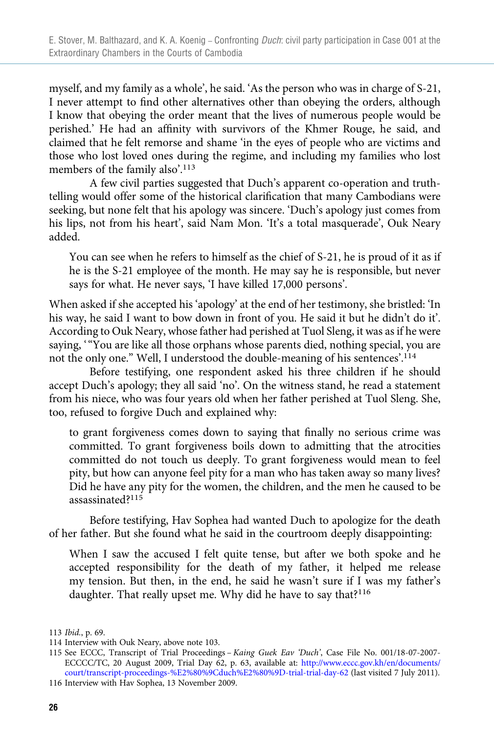myself, and my family as a whole', he said. 'As the person who was in charge of S-21, I never attempt to find other alternatives other than obeying the orders, although I know that obeying the order meant that the lives of numerous people would be perished.' He had an affinity with survivors of the Khmer Rouge, he said, and claimed that he felt remorse and shame 'in the eyes of people who are victims and those who lost loved ones during the regime, and including my families who lost members of the family also'.<sup>113</sup>

A few civil parties suggested that Duch's apparent co-operation and truthtelling would offer some of the historical clarification that many Cambodians were seeking, but none felt that his apology was sincere. 'Duch's apology just comes from his lips, not from his heart', said Nam Mon. 'It's a total masquerade', Ouk Neary added.

You can see when he refers to himself as the chief of S-21, he is proud of it as if he is the S-21 employee of the month. He may say he is responsible, but never says for what. He never says, 'I have killed 17,000 persons'.

When asked if she accepted his 'apology' at the end of her testimony, she bristled: 'In his way, he said I want to bow down in front of you. He said it but he didn't do it'. According to Ouk Neary, whose father had perished at Tuol Sleng, it was as if he were saying, "You are like all those orphans whose parents died, nothing special, you are not the only one." Well, I understood the double-meaning of his sentences'. 114

Before testifying, one respondent asked his three children if he should accept Duch's apology; they all said 'no'. On the witness stand, he read a statement from his niece, who was four years old when her father perished at Tuol Sleng. She, too, refused to forgive Duch and explained why:

to grant forgiveness comes down to saying that finally no serious crime was committed. To grant forgiveness boils down to admitting that the atrocities committed do not touch us deeply. To grant forgiveness would mean to feel pity, but how can anyone feel pity for a man who has taken away so many lives? Did he have any pity for the women, the children, and the men he caused to be assassinated?<sup>115</sup>

Before testifying, Hav Sophea had wanted Duch to apologize for the death of her father. But she found what he said in the courtroom deeply disappointing:

When I saw the accused I felt quite tense, but after we both spoke and he accepted responsibility for the death of my father, it helped me release my tension. But then, in the end, he said he wasn't sure if I was my father's daughter. That really upset me. Why did he have to say that?<sup>116</sup>

<sup>113</sup> Ibid., p. 69.

<sup>114</sup> Interview with Ouk Neary, above note 103.

<sup>115</sup> See ECCC, Transcript of Trial Proceedings – Kaing Guek Eav 'Duch', Case File No. 001/18-07-2007- ECCCC/TC, 20 August 2009, Trial Day 62, p. 63, available at: [http://www.eccc.gov.kh/en/documents/](http://www.eccc.gov.kh/en/documents/court/transcript-proceedings-%E2%80%9Cduch%E2%80%9D-trial-trial-day-62) [court/transcript-proceedings-%E2%80%9Cduch%E2%80%9D-trial-trial-day-62](http://www.eccc.gov.kh/en/documents/court/transcript-proceedings-%E2%80%9Cduch%E2%80%9D-trial-trial-day-62) (last visited 7 July 2011). 116 Interview with Hav Sophea, 13 November 2009.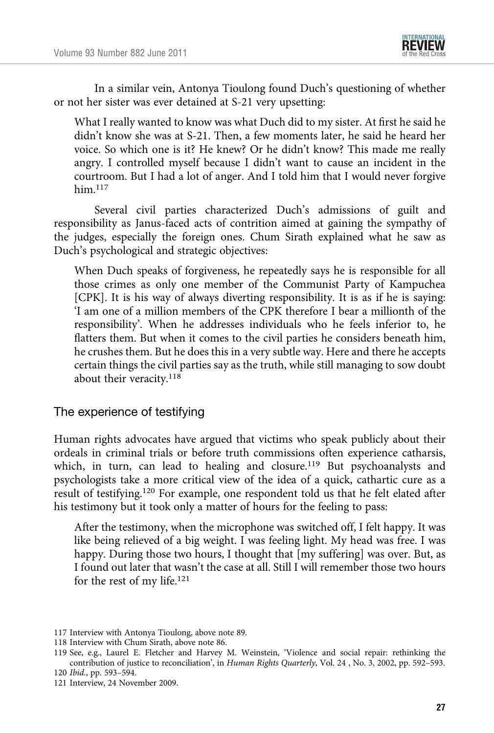In a similar vein, Antonya Tioulong found Duch's questioning of whether or not her sister was ever detained at S-21 very upsetting:

What I really wanted to know was what Duch did to my sister. At first he said he didn't know she was at S-21. Then, a few moments later, he said he heard her voice. So which one is it? He knew? Or he didn't know? This made me really angry. I controlled myself because I didn't want to cause an incident in the courtroom. But I had a lot of anger. And I told him that I would never forgive him.117

Several civil parties characterized Duch's admissions of guilt and responsibility as Janus-faced acts of contrition aimed at gaining the sympathy of the judges, especially the foreign ones. Chum Sirath explained what he saw as Duch's psychological and strategic objectives:

When Duch speaks of forgiveness, he repeatedly says he is responsible for all those crimes as only one member of the Communist Party of Kampuchea [CPK]. It is his way of always diverting responsibility. It is as if he is saying: 'I am one of a million members of the CPK therefore I bear a millionth of the responsibility'. When he addresses individuals who he feels inferior to, he flatters them. But when it comes to the civil parties he considers beneath him, he crushes them. But he does this in a very subtle way. Here and there he accepts certain things the civil parties say as the truth, while still managing to sow doubt about their veracity.<sup>118</sup>

#### The experience of testifying

Human rights advocates have argued that victims who speak publicly about their ordeals in criminal trials or before truth commissions often experience catharsis, which, in turn, can lead to healing and closure.<sup>119</sup> But psychoanalysts and psychologists take a more critical view of the idea of a quick, cathartic cure as a result of testifying.120 For example, one respondent told us that he felt elated after his testimony but it took only a matter of hours for the feeling to pass:

After the testimony, when the microphone was switched off, I felt happy. It was like being relieved of a big weight. I was feeling light. My head was free. I was happy. During those two hours, I thought that [my suffering] was over. But, as I found out later that wasn't the case at all. Still I will remember those two hours for the rest of my life.<sup>121</sup>

119 See, e.g., Laurel E. Fletcher and Harvey M. Weinstein, 'Violence and social repair: rethinking the contribution of justice to reconciliation', in Human Rights Quarterly, Vol. 24 , No. 3, 2002, pp. 592–593.

<sup>117</sup> Interview with Antonya Tioulong, above note 89.

<sup>118</sup> Interview with Chum Sirath, above note 86.

<sup>120</sup> Ibid., pp. 593–594.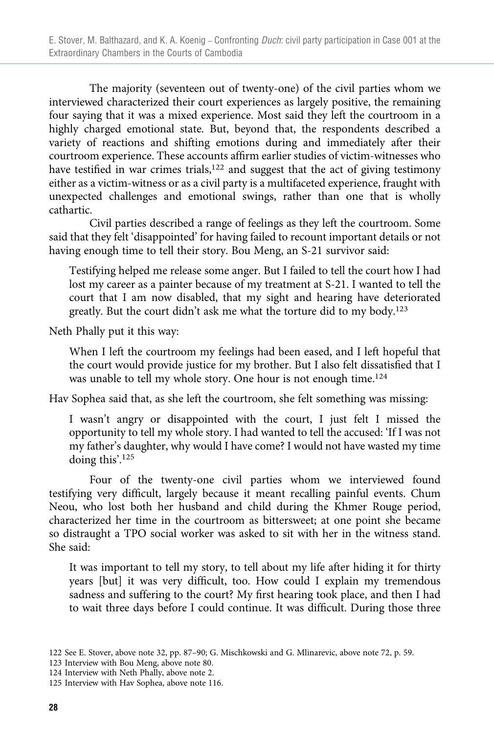The majority (seventeen out of twenty-one) of the civil parties whom we interviewed characterized their court experiences as largely positive, the remaining four saying that it was a mixed experience. Most said they left the courtroom in a highly charged emotional state. But, beyond that, the respondents described a variety of reactions and shifting emotions during and immediately after their courtroom experience. These accounts affirm earlier studies of victim-witnesses who have testified in war crimes trials,<sup>122</sup> and suggest that the act of giving testimony either as a victim-witness or as a civil party is a multifaceted experience, fraught with unexpected challenges and emotional swings, rather than one that is wholly cathartic.

Civil parties described a range of feelings as they left the courtroom. Some said that they felt 'disappointed' for having failed to recount important details or not having enough time to tell their story. Bou Meng, an S-21 survivor said:

Testifying helped me release some anger. But I failed to tell the court how I had lost my career as a painter because of my treatment at S-21. I wanted to tell the court that I am now disabled, that my sight and hearing have deteriorated greatly. But the court didn't ask me what the torture did to my body.123

Neth Phally put it this way:

When I left the courtroom my feelings had been eased, and I left hopeful that the court would provide justice for my brother. But I also felt dissatisfied that I was unable to tell my whole story. One hour is not enough time.<sup>124</sup>

Hav Sophea said that, as she left the courtroom, she felt something was missing:

I wasn't angry or disappointed with the court, I just felt I missed the opportunity to tell my whole story. I had wanted to tell the accused: 'If I was not my father's daughter, why would I have come? I would not have wasted my time doing this'. 125

Four of the twenty-one civil parties whom we interviewed found testifying very difficult, largely because it meant recalling painful events. Chum Neou, who lost both her husband and child during the Khmer Rouge period, characterized her time in the courtroom as bittersweet; at one point she became so distraught a TPO social worker was asked to sit with her in the witness stand. She said:

It was important to tell my story, to tell about my life after hiding it for thirty years [but] it was very difficult, too. How could I explain my tremendous sadness and suffering to the court? My first hearing took place, and then I had to wait three days before I could continue. It was difficult. During those three

<sup>122</sup> See E. Stover, above note 32, pp. 87–90; G. Mischkowski and G. Mlinarevic, above note 72, p. 59.

<sup>123</sup> Interview with Bou Meng, above note 80.

<sup>124</sup> Interview with Neth Phally, above note 2.

<sup>125</sup> Interview with Hav Sophea, above note 116.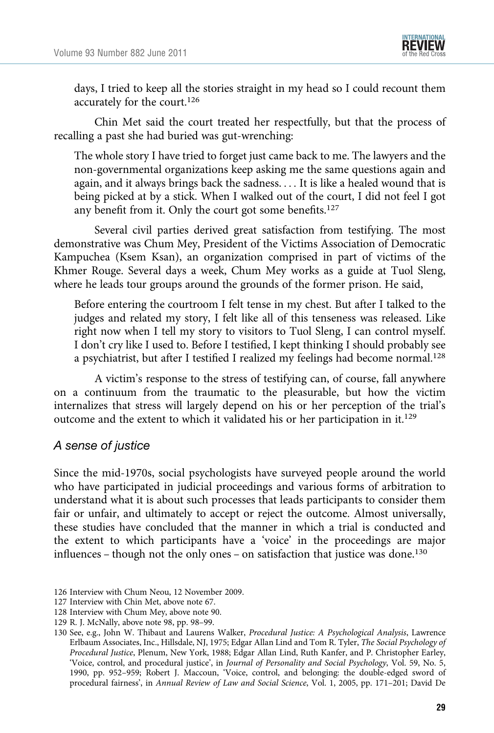days, I tried to keep all the stories straight in my head so I could recount them accurately for the court.126

Chin Met said the court treated her respectfully, but that the process of recalling a past she had buried was gut-wrenching:

The whole story I have tried to forget just came back to me. The lawyers and the non-governmental organizations keep asking me the same questions again and again, and it always brings back the sadness. ... It is like a healed wound that is being picked at by a stick. When I walked out of the court, I did not feel I got any benefit from it. Only the court got some benefits.<sup>127</sup>

Several civil parties derived great satisfaction from testifying. The most demonstrative was Chum Mey, President of the Victims Association of Democratic Kampuchea (Ksem Ksan), an organization comprised in part of victims of the Khmer Rouge. Several days a week, Chum Mey works as a guide at Tuol Sleng, where he leads tour groups around the grounds of the former prison. He said,

Before entering the courtroom I felt tense in my chest. But after I talked to the judges and related my story, I felt like all of this tenseness was released. Like right now when I tell my story to visitors to Tuol Sleng, I can control myself. I don't cry like I used to. Before I testified, I kept thinking I should probably see a psychiatrist, but after I testified I realized my feelings had become normal.128

A victim's response to the stress of testifying can, of course, fall anywhere on a continuum from the traumatic to the pleasurable, but how the victim internalizes that stress will largely depend on his or her perception of the trial's outcome and the extent to which it validated his or her participation in it.<sup>129</sup>

# A sense of justice

Since the mid-1970s, social psychologists have surveyed people around the world who have participated in judicial proceedings and various forms of arbitration to understand what it is about such processes that leads participants to consider them fair or unfair, and ultimately to accept or reject the outcome. Almost universally, these studies have concluded that the manner in which a trial is conducted and the extent to which participants have a 'voice' in the proceedings are major influences – though not the only ones – on satisfaction that justice was done.<sup>130</sup>

126 Interview with Chum Neou, 12 November 2009.

128 Interview with Chum Mey, above note 90.

<sup>127</sup> Interview with Chin Met, above note 67.

<sup>129</sup> R. J. McNally, above note 98, pp. 98–99.

<sup>130</sup> See, e.g., John W. Thibaut and Laurens Walker, Procedural Justice: A Psychological Analysis, Lawrence Erlbaum Associates, Inc., Hillsdale, NJ, 1975; Edgar Allan Lind and Tom R. Tyler, The Social Psychology of Procedural Justice, Plenum, New York, 1988; Edgar Allan Lind, Ruth Kanfer, and P. Christopher Earley, 'Voice, control, and procedural justice', in Journal of Personality and Social Psychology, Vol. 59, No. 5, 1990, pp. 952–959; Robert J. Maccoun, 'Voice, control, and belonging: the double-edged sword of procedural fairness', in Annual Review of Law and Social Science, Vol. 1, 2005, pp. 171–201; David De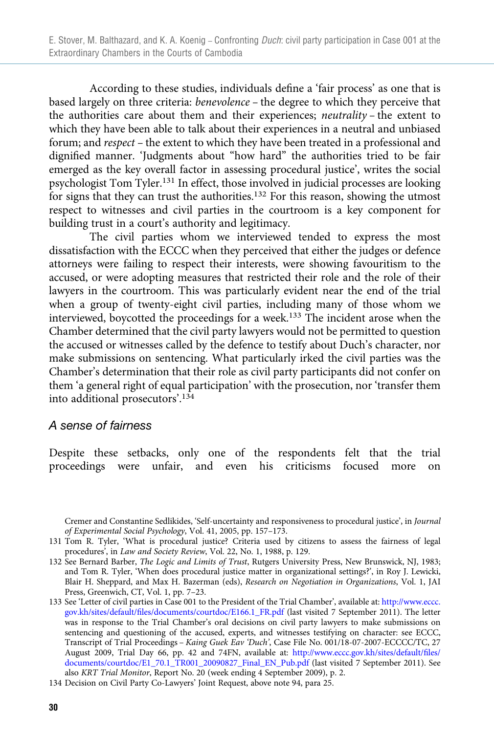According to these studies, individuals define a 'fair process' as one that is based largely on three criteria: benevolence – the degree to which they perceive that the authorities care about them and their experiences; neutrality - the extent to which they have been able to talk about their experiences in a neutral and unbiased forum; and *respect* – the extent to which they have been treated in a professional and dignified manner. 'Judgments about "how hard" the authorities tried to be fair emerged as the key overall factor in assessing procedural justice', writes the social psychologist Tom Tyler.131 In effect, those involved in judicial processes are looking for signs that they can trust the authorities.132 For this reason, showing the utmost respect to witnesses and civil parties in the courtroom is a key component for building trust in a court's authority and legitimacy.

The civil parties whom we interviewed tended to express the most dissatisfaction with the ECCC when they perceived that either the judges or defence attorneys were failing to respect their interests, were showing favouritism to the accused, or were adopting measures that restricted their role and the role of their lawyers in the courtroom. This was particularly evident near the end of the trial when a group of twenty-eight civil parties, including many of those whom we interviewed, boycotted the proceedings for a week.133 The incident arose when the Chamber determined that the civil party lawyers would not be permitted to question the accused or witnesses called by the defence to testify about Duch's character, nor make submissions on sentencing. What particularly irked the civil parties was the Chamber's determination that their role as civil party participants did not confer on them 'a general right of equal participation' with the prosecution, nor 'transfer them into additional prosecutors'. 134

# A sense of fairness

Despite these setbacks, only one of the respondents felt that the trial proceedings were unfair, and even his criticisms focused more on

Cremer and Constantine Sedlikides, 'Self-uncertainty and responsiveness to procedural justice', in Journal of Experimental Social Psychology, Vol. 41, 2005, pp. 157–173.

<sup>131</sup> Tom R. Tyler, 'What is procedural justice? Criteria used by citizens to assess the fairness of legal procedures', in Law and Society Review, Vol. 22, No. 1, 1988, p. 129.

<sup>132</sup> See Bernard Barber, The Logic and Limits of Trust, Rutgers University Press, New Brunswick, NJ, 1983; and Tom R. Tyler, 'When does procedural justice matter in organizational settings?', in Roy J. Lewicki, Blair H. Sheppard, and Max H. Bazerman (eds), Research on Negotiation in Organizations, Vol. 1, JAI Press, Greenwich, CT, Vol. 1, pp. 7–23.

<sup>133</sup> See 'Letter of civil parties in Case 001 to the President of the Trial Chamber', available at: [http://www.eccc.](http://www.eccc.gov.kh/sites/default/files/documents/courtdoc/E166.1_FR.pdf) gov.kh/sites/default/fi[les/documents/courtdoc/E166.1\\_FR.pdf](http://www.eccc.gov.kh/sites/default/files/documents/courtdoc/E166.1_FR.pdf) (last visited 7 September 2011). The letter was in response to the Trial Chamber's oral decisions on civil party lawyers to make submissions on sentencing and questioning of the accused, experts, and witnesses testifying on character: see ECCC, Transcript of Trial Proceedings – Kaing Guek Eav 'Duch', Case File No. 001/18-07-2007-ECCCC/TC, 27 August 2009, Trial Day 66, pp. 42 and 74FN, available at: [http://www.eccc.gov.kh/sites/default/](http://www.eccc.gov.kh/sites/default/files/documents/courtdoc/E1_70.1_TR001_20090827_Final_EN_Pub.pdf)files/ [documents/courtdoc/E1\\_70.1\\_TR001\\_20090827\\_Final\\_EN\\_Pub.pdf](http://www.eccc.gov.kh/sites/default/files/documents/courtdoc/E1_70.1_TR001_20090827_Final_EN_Pub.pdf) (last visited 7 September 2011). See also KRT Trial Monitor, Report No. 20 (week ending 4 September 2009), p. 2.

<sup>134</sup> Decision on Civil Party Co-Lawyers' Joint Request, above note 94, para 25.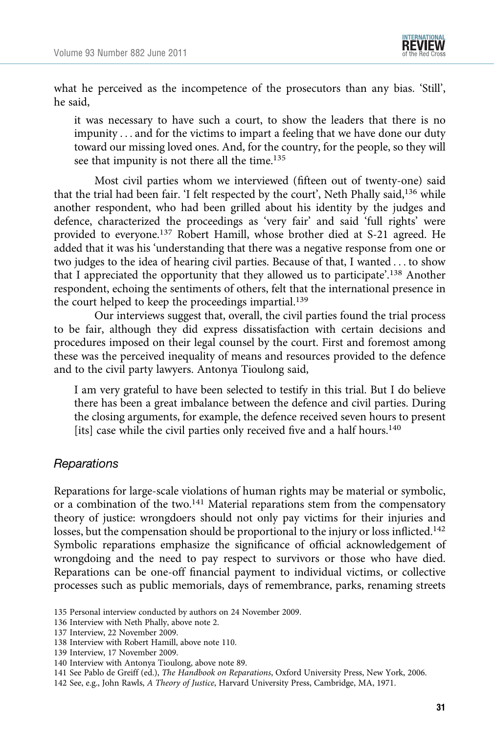what he perceived as the incompetence of the prosecutors than any bias. 'Still', he said,

it was necessary to have such a court, to show the leaders that there is no impunity ... and for the victims to impart a feeling that we have done our duty toward our missing loved ones. And, for the country, for the people, so they will see that impunity is not there all the time.<sup>135</sup>

Most civil parties whom we interviewed (fifteen out of twenty-one) said that the trial had been fair. 'I felt respected by the court', Neth Phally said,<sup>136</sup> while another respondent, who had been grilled about his identity by the judges and defence, characterized the proceedings as 'very fair' and said 'full rights' were provided to everyone.137 Robert Hamill, whose brother died at S-21 agreed. He added that it was his 'understanding that there was a negative response from one or two judges to the idea of hearing civil parties. Because of that, I wanted ... to show that I appreciated the opportunity that they allowed us to participate'.<sup>138</sup> Another respondent, echoing the sentiments of others, felt that the international presence in the court helped to keep the proceedings impartial.139

Our interviews suggest that, overall, the civil parties found the trial process to be fair, although they did express dissatisfaction with certain decisions and procedures imposed on their legal counsel by the court. First and foremost among these was the perceived inequality of means and resources provided to the defence and to the civil party lawyers. Antonya Tioulong said,

I am very grateful to have been selected to testify in this trial. But I do believe there has been a great imbalance between the defence and civil parties. During the closing arguments, for example, the defence received seven hours to present [its] case while the civil parties only received five and a half hours.<sup>140</sup>

# **Reparations**

Reparations for large-scale violations of human rights may be material or symbolic, or a combination of the two.<sup>141</sup> Material reparations stem from the compensatory theory of justice: wrongdoers should not only pay victims for their injuries and losses, but the compensation should be proportional to the injury or loss inflicted.<sup>142</sup> Symbolic reparations emphasize the significance of official acknowledgement of wrongdoing and the need to pay respect to survivors or those who have died. Reparations can be one-off financial payment to individual victims, or collective processes such as public memorials, days of remembrance, parks, renaming streets

<sup>135</sup> Personal interview conducted by authors on 24 November 2009.

<sup>136</sup> Interview with Neth Phally, above note 2.

<sup>137</sup> Interview, 22 November 2009.

<sup>138</sup> Interview with Robert Hamill, above note 110.

<sup>139</sup> Interview, 17 November 2009.

<sup>140</sup> Interview with Antonya Tioulong, above note 89.

<sup>141</sup> See Pablo de Greiff (ed.), The Handbook on Reparations, Oxford University Press, New York, 2006.

<sup>142</sup> See, e.g., John Rawls, A Theory of Justice, Harvard University Press, Cambridge, MA, 1971.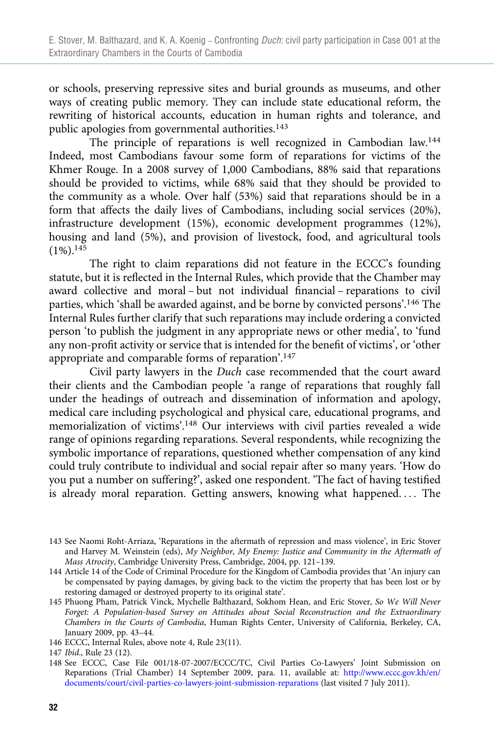or schools, preserving repressive sites and burial grounds as museums, and other ways of creating public memory. They can include state educational reform, the rewriting of historical accounts, education in human rights and tolerance, and public apologies from governmental authorities.<sup>143</sup>

The principle of reparations is well recognized in Cambodian law.<sup>144</sup> Indeed, most Cambodians favour some form of reparations for victims of the Khmer Rouge. In a 2008 survey of 1,000 Cambodians, 88% said that reparations should be provided to victims, while 68% said that they should be provided to the community as a whole. Over half (53%) said that reparations should be in a form that affects the daily lives of Cambodians, including social services (20%), infrastructure development (15%), economic development programmes (12%), housing and land (5%), and provision of livestock, food, and agricultural tools  $(1\%)$ .<sup>145</sup>

The right to claim reparations did not feature in the ECCC's founding statute, but it is reflected in the Internal Rules, which provide that the Chamber may award collective and moral – but not individual financial – reparations to civil parties, which 'shall be awarded against, and be borne by convicted persons'. <sup>146</sup> The Internal Rules further clarify that such reparations may include ordering a convicted person 'to publish the judgment in any appropriate news or other media', to 'fund any non-profit activity or service that is intended for the benefit of victims', or 'other appropriate and comparable forms of reparation'. 147

Civil party lawyers in the Duch case recommended that the court award their clients and the Cambodian people 'a range of reparations that roughly fall under the headings of outreach and dissemination of information and apology, medical care including psychological and physical care, educational programs, and memorialization of victims'. <sup>148</sup> Our interviews with civil parties revealed a wide range of opinions regarding reparations. Several respondents, while recognizing the symbolic importance of reparations, questioned whether compensation of any kind could truly contribute to individual and social repair after so many years. 'How do you put a number on suffering?', asked one respondent. 'The fact of having testified is already moral reparation. Getting answers, knowing what happened. ... The

<sup>143</sup> See Naomi Roht-Arriaza, 'Reparations in the aftermath of repression and mass violence', in Eric Stover and Harvey M. Weinstein (eds), My Neighbor, My Enemy: Justice and Community in the Aftermath of Mass Atrocity, Cambridge University Press, Cambridge, 2004, pp. 121–139.

<sup>144</sup> Article 14 of the Code of Criminal Procedure for the Kingdom of Cambodia provides that 'An injury can be compensated by paying damages, by giving back to the victim the property that has been lost or by restoring damaged or destroyed property to its original state'.

<sup>145</sup> Phuong Pham, Patrick Vinck, Mychelle Balthazard, Sokhom Hean, and Eric Stover, So We Will Never Forget: A Population-based Survey on Attitudes about Social Reconstruction and the Extraordinary Chambers in the Courts of Cambodia, Human Rights Center, University of California, Berkeley, CA, January 2009, pp. 43–44.

<sup>146</sup> ECCC, Internal Rules, above note 4, Rule 23(11).

<sup>147</sup> Ibid., Rule 23 (12).

<sup>148</sup> See ECCC, Case File 001/18-07-2007/ECCC/TC, Civil Parties Co-Lawyers' Joint Submission on Reparations (Trial Chamber) 14 September 2009, para. 11, available at: [http://www.eccc.gov.kh/en/](http://www.eccc.gov.kh/en/documents/court/civil-parties-co-lawyers-joint-submission-reparations) [documents/court/civil-parties-co-lawyers-joint-submission-reparations](http://www.eccc.gov.kh/en/documents/court/civil-parties-co-lawyers-joint-submission-reparations) (last visited 7 July 2011).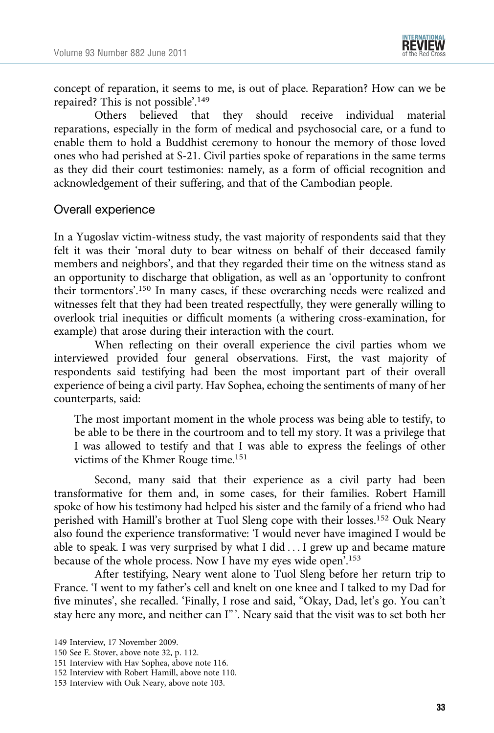concept of reparation, it seems to me, is out of place. Reparation? How can we be repaired? This is not possible'.<sup>149</sup>

Others believed that they should receive individual material reparations, especially in the form of medical and psychosocial care, or a fund to enable them to hold a Buddhist ceremony to honour the memory of those loved ones who had perished at S-21. Civil parties spoke of reparations in the same terms as they did their court testimonies: namely, as a form of official recognition and acknowledgement of their suffering, and that of the Cambodian people.

#### Overall experience

In a Yugoslav victim-witness study, the vast majority of respondents said that they felt it was their 'moral duty to bear witness on behalf of their deceased family members and neighbors', and that they regarded their time on the witness stand as an opportunity to discharge that obligation, as well as an 'opportunity to confront their tormentors'. <sup>150</sup> In many cases, if these overarching needs were realized and witnesses felt that they had been treated respectfully, they were generally willing to overlook trial inequities or difficult moments (a withering cross-examination, for example) that arose during their interaction with the court.

When reflecting on their overall experience the civil parties whom we interviewed provided four general observations. First, the vast majority of respondents said testifying had been the most important part of their overall experience of being a civil party. Hav Sophea, echoing the sentiments of many of her counterparts, said:

The most important moment in the whole process was being able to testify, to be able to be there in the courtroom and to tell my story. It was a privilege that I was allowed to testify and that I was able to express the feelings of other victims of the Khmer Rouge time.151

Second, many said that their experience as a civil party had been transformative for them and, in some cases, for their families. Robert Hamill spoke of how his testimony had helped his sister and the family of a friend who had perished with Hamill's brother at Tuol Sleng cope with their losses.152 Ouk Neary also found the experience transformative: 'I would never have imagined I would be able to speak. I was very surprised by what I did ... I grew up and became mature because of the whole process. Now I have my eyes wide open'.<sup>153</sup>

After testifying, Neary went alone to Tuol Sleng before her return trip to France. 'I went to my father's cell and knelt on one knee and I talked to my Dad for five minutes', she recalled. 'Finally, I rose and said, "Okay, Dad, let's go. You can't stay here any more, and neither can I" '. Neary said that the visit was to set both her

149 Interview, 17 November 2009.

<sup>150</sup> See E. Stover, above note 32, p. 112.

<sup>151</sup> Interview with Hav Sophea, above note 116.

<sup>152</sup> Interview with Robert Hamill, above note 110.

<sup>153</sup> Interview with Ouk Neary, above note 103.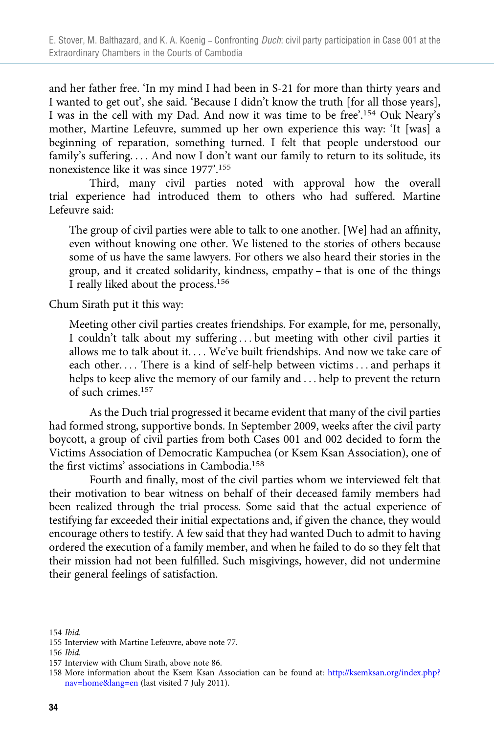and her father free. 'In my mind I had been in S-21 for more than thirty years and I wanted to get out', she said. 'Because I didn't know the truth [for all those years], I was in the cell with my Dad. And now it was time to be free'.<sup>154</sup> Ouk Neary's mother, Martine Lefeuvre, summed up her own experience this way: 'It [was] a beginning of reparation, something turned. I felt that people understood our family's suffering. ... And now I don't want our family to return to its solitude, its nonexistence like it was since 1977'. 155

Third, many civil parties noted with approval how the overall trial experience had introduced them to others who had suffered. Martine Lefeuvre said:

The group of civil parties were able to talk to one another. [We] had an affinity, even without knowing one other. We listened to the stories of others because some of us have the same lawyers. For others we also heard their stories in the group, and it created solidarity, kindness, empathy – that is one of the things I really liked about the process.<sup>156</sup>

Chum Sirath put it this way:

Meeting other civil parties creates friendships. For example, for me, personally, I couldn't talk about my suffering ... but meeting with other civil parties it allows me to talk about it. ... We've built friendships. And now we take care of each other. ... There is a kind of self-help between victims ... and perhaps it helps to keep alive the memory of our family and ... help to prevent the return of such crimes.157

As the Duch trial progressed it became evident that many of the civil parties had formed strong, supportive bonds. In September 2009, weeks after the civil party boycott, a group of civil parties from both Cases 001 and 002 decided to form the Victims Association of Democratic Kampuchea (or Ksem Ksan Association), one of the first victims' associations in Cambodia.158

Fourth and finally, most of the civil parties whom we interviewed felt that their motivation to bear witness on behalf of their deceased family members had been realized through the trial process. Some said that the actual experience of testifying far exceeded their initial expectations and, if given the chance, they would encourage others to testify. A few said that they had wanted Duch to admit to having ordered the execution of a family member, and when he failed to do so they felt that their mission had not been fulfilled. Such misgivings, however, did not undermine their general feelings of satisfaction.

<sup>154</sup> Ibid.

<sup>155</sup> Interview with Martine Lefeuvre, above note 77.

<sup>156</sup> Ibid.

<sup>157</sup> Interview with Chum Sirath, above note 86.

<sup>158</sup> More information about the Ksem Ksan Association can be found at: [http://ksemksan.org/index.php?](http://ksemksan.org/index.php?nav=home&lang=en) [nav=home&lang=en](http://ksemksan.org/index.php?nav=home&lang=en) (last visited 7 July 2011).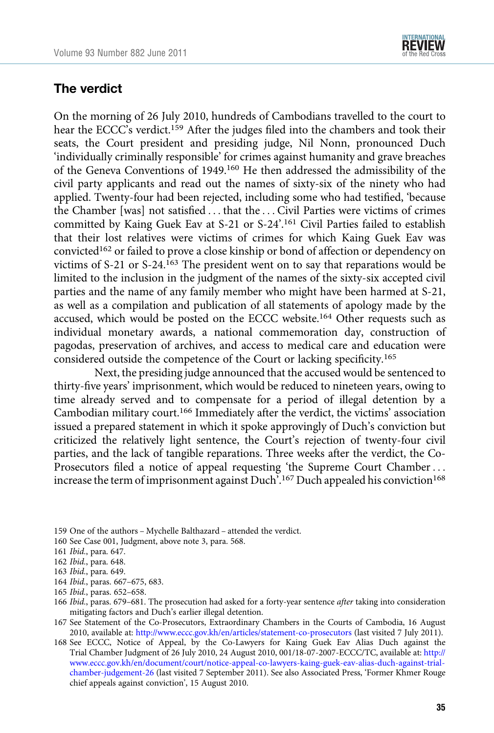

# The verdict

On the morning of 26 July 2010, hundreds of Cambodians travelled to the court to hear the ECCC's verdict.<sup>159</sup> After the judges filed into the chambers and took their seats, the Court president and presiding judge, Nil Nonn, pronounced Duch 'individually criminally responsible' for crimes against humanity and grave breaches of the Geneva Conventions of 1949.160 He then addressed the admissibility of the civil party applicants and read out the names of sixty-six of the ninety who had applied. Twenty-four had been rejected, including some who had testified, 'because the Chamber [was] not satisfied ... that the ... Civil Parties were victims of crimes committed by Kaing Guek Eav at S-21 or S-24'. <sup>161</sup> Civil Parties failed to establish that their lost relatives were victims of crimes for which Kaing Guek Eav was convicted<sup>162</sup> or failed to prove a close kinship or bond of affection or dependency on victims of S-21 or S-24.163 The president went on to say that reparations would be limited to the inclusion in the judgment of the names of the sixty-six accepted civil parties and the name of any family member who might have been harmed at S-21, as well as a compilation and publication of all statements of apology made by the accused, which would be posted on the ECCC website.164 Other requests such as individual monetary awards, a national commemoration day, construction of pagodas, preservation of archives, and access to medical care and education were considered outside the competence of the Court or lacking specificity.<sup>165</sup>

Next, the presiding judge announced that the accused would be sentenced to thirty-five years' imprisonment, which would be reduced to nineteen years, owing to time already served and to compensate for a period of illegal detention by a Cambodian military court.166 Immediately after the verdict, the victims' association issued a prepared statement in which it spoke approvingly of Duch's conviction but criticized the relatively light sentence, the Court's rejection of twenty-four civil parties, and the lack of tangible reparations. Three weeks after the verdict, the Co-Prosecutors filed a notice of appeal requesting 'the Supreme Court Chamber ... increase the term of imprisonment against Duch<sup>7</sup>.<sup>167</sup> Duch appealed his conviction<sup>168</sup>

159 One of the authors – Mychelle Balthazard – attended the verdict.

- 160 See Case 001, Judgment, above note 3, para. 568.
- 161 Ibid., para. 647.
- 162 Ibid., para. 648.
- 163 Ibid., para. 649.
- 164 Ibid., paras. 667–675, 683.
- 165 Ibid., paras. 652–658.

166 Ibid., paras. 679–681. The prosecution had asked for a forty-year sentence after taking into consideration mitigating factors and Duch's earlier illegal detention.

- 167 See Statement of the Co-Prosecutors, Extraordinary Chambers in the Courts of Cambodia, 16 August 2010, available at: <http://www.eccc.gov.kh/en/articles/statement-co-prosecutors> (last visited 7 July 2011).
- 168 See ECCC, Notice of Appeal, by the Co-Lawyers for Kaing Guek Eav Alias Duch against the Trial Chamber Judgment of 26 July 2010, 24 August 2010, 001/18-07-2007-ECCC/TC, available at: [http://](http://www.eccc.gov.kh/en/document/court/notice-appeal-co-lawyers-kaing-guek-eav-alias-duch-against-trial-chamber-judgement-26) [www.eccc.gov.kh/en/document/court/notice-appeal-co-lawyers-kaing-guek-eav-alias-duch-against-trial](http://www.eccc.gov.kh/en/document/court/notice-appeal-co-lawyers-kaing-guek-eav-alias-duch-against-trial-chamber-judgement-26)[chamber-judgement-26](http://www.eccc.gov.kh/en/document/court/notice-appeal-co-lawyers-kaing-guek-eav-alias-duch-against-trial-chamber-judgement-26) (last visited 7 September 2011). See also Associated Press, 'Former Khmer Rouge chief appeals against conviction', 15 August 2010.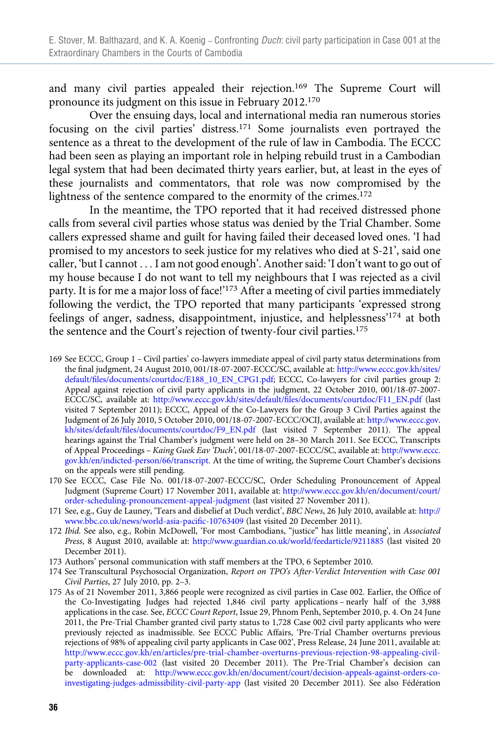and many civil parties appealed their rejection.<sup>169</sup> The Supreme Court will pronounce its judgment on this issue in February 2012.170

Over the ensuing days, local and international media ran numerous stories focusing on the civil parties' distress.<sup>171</sup> Some journalists even portrayed the sentence as a threat to the development of the rule of law in Cambodia. The ECCC had been seen as playing an important role in helping rebuild trust in a Cambodian legal system that had been decimated thirty years earlier, but, at least in the eyes of these journalists and commentators, that role was now compromised by the lightness of the sentence compared to the enormity of the crimes.<sup>172</sup>

In the meantime, the TPO reported that it had received distressed phone calls from several civil parties whose status was denied by the Trial Chamber. Some callers expressed shame and guilt for having failed their deceased loved ones. 'I had promised to my ancestors to seek justice for my relatives who died at S-21', said one caller, 'but I cannot ... I am not good enough'. Another said: 'I don't want to go out of my house because I do not want to tell my neighbours that I was rejected as a civil party. It is for me a major loss of face!'<sup>173</sup> After a meeting of civil parties immediately following the verdict, the TPO reported that many participants 'expressed strong feelings of anger, sadness, disappointment, injustice, and helplessness'<sup>174</sup> at both the sentence and the Court's rejection of twenty-four civil parties.<sup>175</sup>

169 See ECCC, Group 1 – Civil parties' co-lawyers immediate appeal of civil party status determinations from the final judgment, 24 August 2010, 001/18-07-2007-ECCC/SC, available at: [http://www.eccc.gov.kh/sites/](http://www.eccc.gov.kh/sites/default/files/documents/courtdoc/E188_10_EN_CPG1.pdf) default/fi[les/documents/courtdoc/E188\\_10\\_EN\\_CPG1.pdf;](http://www.eccc.gov.kh/sites/default/files/documents/courtdoc/E188_10_EN_CPG1.pdf) ECCC, Co-lawyers for civil parties group 2: Appeal against rejection of civil party applicants in the judgment, 22 October 2010, 001/18-07-2007- ECCC/SC, available at: [http://](http://www.eccc.gov.kh/sites/default/files/documents/courtdoc/F11_EN.pdf)www.eccc.gov.kh/sites/default/fi[les/documents/courtdoc/F11\\_EN.pdf](http://www.eccc.gov.kh/sites/default/files/documents/courtdoc/F11_EN.pdf) (last visited 7 September 2011); ECCC, Appeal of the Co-Lawyers for the Group 3 Civil Parties against the Judgment of 26 July 2010, 5 October 2010, 001/18-07-2007-ECCC/OCIJ, available at: [http://www.eccc.gov.](http://www.eccc.gov.kh/sites/default/files/documents/courtdoc/F9_EN.pdf) kh/sites/default/fi[les/documents/courtdoc/F9\\_EN.pdf](http://www.eccc.gov.kh/sites/default/files/documents/courtdoc/F9_EN.pdf) (last visited 7 September 2011). The appeal hearings against the Trial Chamber's judgment were held on 28–30 March 2011. See ECCC, Transcripts of Appeal Proceedings - Kaing Guek Eav Duch', 001/18-07-2007-ECCC/SC, available at: [http://www.eccc.](http://www.eccc.gov.kh/en/indicted-person/66/transcript) [gov.kh/en/indicted-person/66/transcript](http://www.eccc.gov.kh/en/indicted-person/66/transcript). At the time of writing, the Supreme Court Chamber's decisions on the appeals were still pending.

- 170 See ECCC, Case File No. 001/18-07-2007-ECCC/SC, Order Scheduling Pronouncement of Appeal Judgment (Supreme Court) 17 November 2011, available at: [http://www.eccc.gov.kh/en/document/court/](http://www.eccc.gov.kh/en/document/court/order-scheduling-pronouncement-appeal-judgment) [order-scheduling-pronouncement-appeal-judgment](http://www.eccc.gov.kh/en/document/court/order-scheduling-pronouncement-appeal-judgment) (last visited 27 November 2011).
- 171 See, e.g., Guy de Launey, 'Tears and disbelief at Duch verdict', BBC News, 26 July 2010, available at: [http://](http://www.bbc.co.uk/news/world-asia-pacific-10763409) [www.bbc.co.uk/news/world-asia-paci](http://www.bbc.co.uk/news/world-asia-pacific-10763409)fic-10763409 (last visited 20 December 2011).
- 172 Ibid. See also, e.g., Robin McDowell, 'For most Cambodians, "justice" has little meaning', in Associated Press, 8 August 2010, available at: <http://www.guardian.co.uk/world/feedarticle/9211885> (last visited 20 December 2011).
- 173 Authors' personal communication with staff members at the TPO, 6 September 2010.
- 174 See Transcultural Psychosocial Organization, Report on TPO's After-Verdict Intervention with Case 001 Civil Parties, 27 July 2010, pp. 2–3.
- 175 As of 21 November 2011, 3,866 people were recognized as civil parties in Case 002. Earlier, the Office of the Co-Investigating Judges had rejected 1,846 civil party applications – nearly half of the 3,988 applications in the case. See, ECCC Court Report, Issue 29, Phnom Penh, September 2010, p. 4. On 24 June 2011, the Pre-Trial Chamber granted civil party status to 1,728 Case 002 civil party applicants who were previously rejected as inadmissible. See ECCC Public Affairs, 'Pre-Trial Chamber overturns previous rejections of 98% of appealing civil party applicants in Case 002', Press Release, 24 June 2011, available at: [http://www.eccc.gov.kh/en/articles/pre-trial-chamber-overturns-previous-rejection-98-appealing-civil](http://www.eccc.gov.kh/en/articles/pre-trial-chamber-overturns-previous-rejection-98-appealing-civil-party-applicants-case-002)[party-applicants-case-002](http://www.eccc.gov.kh/en/articles/pre-trial-chamber-overturns-previous-rejection-98-appealing-civil-party-applicants-case-002) (last visited 20 December 2011). The Pre-Trial Chamber's decision can be downloaded at: [http://www.eccc.gov.kh/en/document/court/decision-appeals-against-orders-co](http://www.eccc.gov.kh/en/document/court/decision-appeals-against-orders-co-investigating-judges-admissibility-civil-party-app)[investigating-judges-admissibility-civil-party-app](http://www.eccc.gov.kh/en/document/court/decision-appeals-against-orders-co-investigating-judges-admissibility-civil-party-app) (last visited 20 December 2011). See also Fédération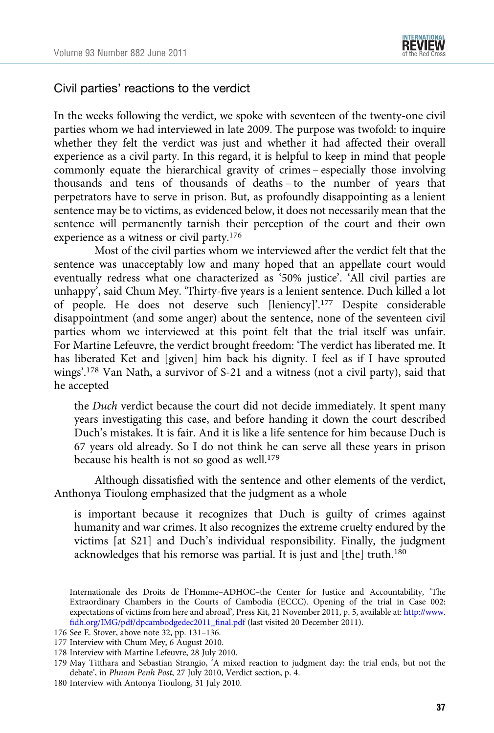

#### Civil parties' reactions to the verdict

In the weeks following the verdict, we spoke with seventeen of the twenty-one civil parties whom we had interviewed in late 2009. The purpose was twofold: to inquire whether they felt the verdict was just and whether it had affected their overall experience as a civil party. In this regard, it is helpful to keep in mind that people commonly equate the hierarchical gravity of crimes – especially those involving thousands and tens of thousands of deaths – to the number of years that perpetrators have to serve in prison. But, as profoundly disappointing as a lenient sentence may be to victims, as evidenced below, it does not necessarily mean that the sentence will permanently tarnish their perception of the court and their own experience as a witness or civil party.176

Most of the civil parties whom we interviewed after the verdict felt that the sentence was unacceptably low and many hoped that an appellate court would eventually redress what one characterized as '50% justice'. 'All civil parties are unhappy', said Chum Mey. 'Thirty-five years is a lenient sentence. Duch killed a lot of people. He does not deserve such [leniency]'. <sup>177</sup> Despite considerable disappointment (and some anger) about the sentence, none of the seventeen civil parties whom we interviewed at this point felt that the trial itself was unfair. For Martine Lefeuvre, the verdict brought freedom: 'The verdict has liberated me. It has liberated Ket and [given] him back his dignity. I feel as if I have sprouted wings'. <sup>178</sup> Van Nath, a survivor of S-21 and a witness (not a civil party), said that he accepted

the Duch verdict because the court did not decide immediately. It spent many years investigating this case, and before handing it down the court described Duch's mistakes. It is fair. And it is like a life sentence for him because Duch is 67 years old already. So I do not think he can serve all these years in prison because his health is not so good as well.<sup>179</sup>

Although dissatisfied with the sentence and other elements of the verdict, Anthonya Tioulong emphasized that the judgment as a whole

is important because it recognizes that Duch is guilty of crimes against humanity and war crimes. It also recognizes the extreme cruelty endured by the victims [at S21] and Duch's individual responsibility. Finally, the judgment acknowledges that his remorse was partial. It is just and [the] truth.180

Internationale des Droits de l'Homme–ADHOC–the Center for Justice and Accountability, 'The Extraordinary Chambers in the Courts of Cambodia (ECCC). Opening of the trial in Case 002: expectations of victims from here and abroad', Press Kit, 21 November 2011, p. 5, available at: [http://www.](http://www.fidh.org/IMG/pdf/dpcambodgedec2011_final.pdf) fi[dh.org/IMG/pdf/dpcambodgedec2011\\_](http://www.fidh.org/IMG/pdf/dpcambodgedec2011_final.pdf)final.pdf (last visited 20 December 2011).

<sup>176</sup> See E. Stover, above note 32, pp. 131–136.

<sup>177</sup> Interview with Chum Mey, 6 August 2010.

<sup>178</sup> Interview with Martine Lefeuvre, 28 July 2010.

<sup>179</sup> May Titthara and Sebastian Strangio, 'A mixed reaction to judgment day: the trial ends, but not the debate', in Phnom Penh Post, 27 July 2010, Verdict section, p. 4.

<sup>180</sup> Interview with Antonya Tioulong, 31 July 2010.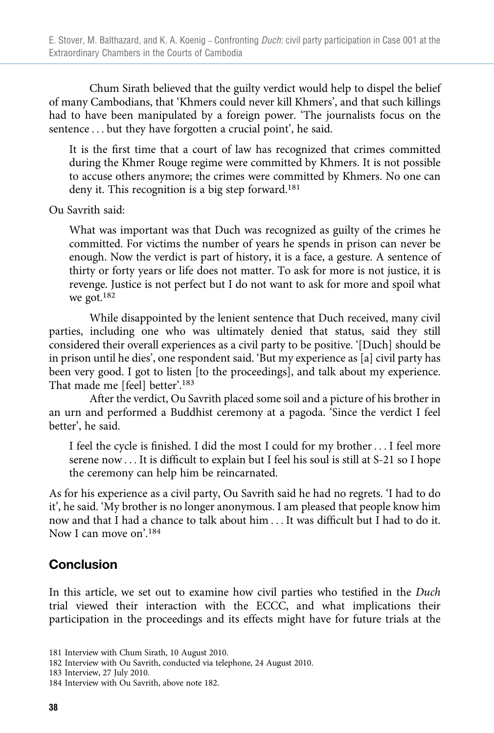Chum Sirath believed that the guilty verdict would help to dispel the belief of many Cambodians, that 'Khmers could never kill Khmers', and that such killings had to have been manipulated by a foreign power. 'The journalists focus on the sentence ... but they have forgotten a crucial point', he said.

It is the first time that a court of law has recognized that crimes committed during the Khmer Rouge regime were committed by Khmers. It is not possible to accuse others anymore; the crimes were committed by Khmers. No one can deny it. This recognition is a big step forward.<sup>181</sup>

Ou Savrith said:

What was important was that Duch was recognized as guilty of the crimes he committed. For victims the number of years he spends in prison can never be enough. Now the verdict is part of history, it is a face, a gesture. A sentence of thirty or forty years or life does not matter. To ask for more is not justice, it is revenge. Justice is not perfect but I do not want to ask for more and spoil what we got.<sup>182</sup>

While disappointed by the lenient sentence that Duch received, many civil parties, including one who was ultimately denied that status, said they still considered their overall experiences as a civil party to be positive. '[Duch] should be in prison until he dies', one respondent said. 'But my experience as [a] civil party has been very good. I got to listen [to the proceedings], and talk about my experience. That made me [feel] better'. 183

After the verdict, Ou Savrith placed some soil and a picture of his brother in an urn and performed a Buddhist ceremony at a pagoda. 'Since the verdict I feel better', he said.

I feel the cycle is finished. I did the most I could for my brother ... I feel more serene now ... It is difficult to explain but I feel his soul is still at S-21 so I hope the ceremony can help him be reincarnated.

As for his experience as a civil party, Ou Savrith said he had no regrets. 'I had to do it', he said. 'My brother is no longer anonymous. I am pleased that people know him now and that I had a chance to talk about him ... It was difficult but I had to do it. Now I can move on'. 184

# Conclusion

In this article, we set out to examine how civil parties who testified in the Duch trial viewed their interaction with the ECCC, and what implications their participation in the proceedings and its effects might have for future trials at the

181 Interview with Chum Sirath, 10 August 2010.

<sup>182</sup> Interview with Ou Savrith, conducted via telephone, 24 August 2010.

<sup>183</sup> Interview, 27 July 2010.

<sup>184</sup> Interview with Ou Savrith, above note 182.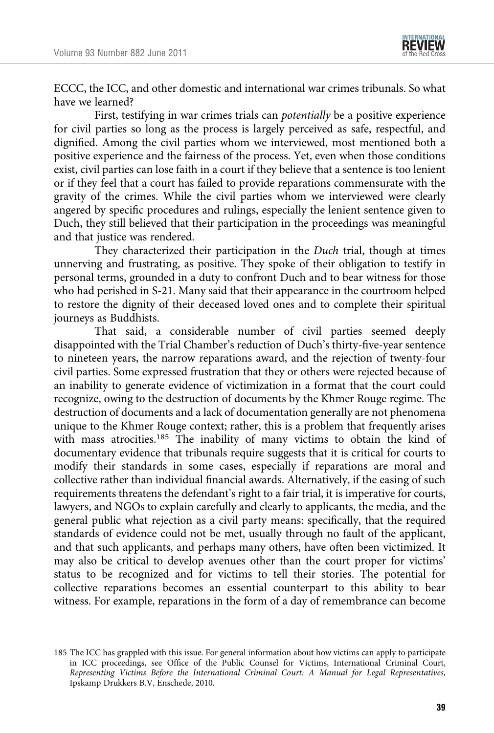ECCC, the ICC, and other domestic and international war crimes tribunals. So what have we learned?

First, testifying in war crimes trials can potentially be a positive experience for civil parties so long as the process is largely perceived as safe, respectful, and dignified. Among the civil parties whom we interviewed, most mentioned both a positive experience and the fairness of the process. Yet, even when those conditions exist, civil parties can lose faith in a court if they believe that a sentence is too lenient or if they feel that a court has failed to provide reparations commensurate with the gravity of the crimes. While the civil parties whom we interviewed were clearly angered by specific procedures and rulings, especially the lenient sentence given to Duch, they still believed that their participation in the proceedings was meaningful and that justice was rendered.

They characterized their participation in the Duch trial, though at times unnerving and frustrating, as positive. They spoke of their obligation to testify in personal terms, grounded in a duty to confront Duch and to bear witness for those who had perished in S-21. Many said that their appearance in the courtroom helped to restore the dignity of their deceased loved ones and to complete their spiritual journeys as Buddhists.

That said, a considerable number of civil parties seemed deeply disappointed with the Trial Chamber's reduction of Duch's thirty-five-year sentence to nineteen years, the narrow reparations award, and the rejection of twenty-four civil parties. Some expressed frustration that they or others were rejected because of an inability to generate evidence of victimization in a format that the court could recognize, owing to the destruction of documents by the Khmer Rouge regime. The destruction of documents and a lack of documentation generally are not phenomena unique to the Khmer Rouge context; rather, this is a problem that frequently arises with mass atrocities.<sup>185</sup> The inability of many victims to obtain the kind of documentary evidence that tribunals require suggests that it is critical for courts to modify their standards in some cases, especially if reparations are moral and collective rather than individual financial awards. Alternatively, if the easing of such requirements threatens the defendant's right to a fair trial, it is imperative for courts, lawyers, and NGOs to explain carefully and clearly to applicants, the media, and the general public what rejection as a civil party means: specifically, that the required standards of evidence could not be met, usually through no fault of the applicant, and that such applicants, and perhaps many others, have often been victimized. It may also be critical to develop avenues other than the court proper for victims' status to be recognized and for victims to tell their stories. The potential for collective reparations becomes an essential counterpart to this ability to bear witness. For example, reparations in the form of a day of remembrance can become

<sup>185</sup> The ICC has grappled with this issue. For general information about how victims can apply to participate in ICC proceedings, see Office of the Public Counsel for Victims, International Criminal Court, Representing Victims Before the International Criminal Court: A Manual for Legal Representatives, Ipskamp Drukkers B.V, Enschede, 2010.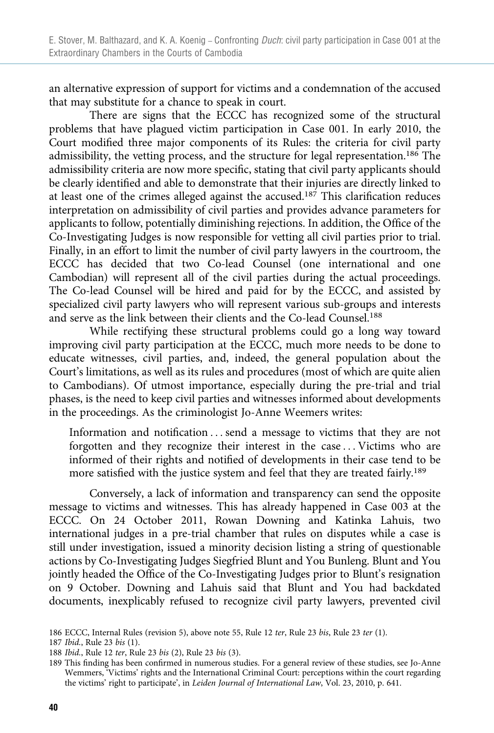an alternative expression of support for victims and a condemnation of the accused that may substitute for a chance to speak in court.

There are signs that the ECCC has recognized some of the structural problems that have plagued victim participation in Case 001. In early 2010, the Court modified three major components of its Rules: the criteria for civil party admissibility, the vetting process, and the structure for legal representation.186 The admissibility criteria are now more specific, stating that civil party applicants should be clearly identified and able to demonstrate that their injuries are directly linked to at least one of the crimes alleged against the accused.<sup>187</sup> This clarification reduces interpretation on admissibility of civil parties and provides advance parameters for applicants to follow, potentially diminishing rejections. In addition, the Office of the Co-Investigating Judges is now responsible for vetting all civil parties prior to trial. Finally, in an effort to limit the number of civil party lawyers in the courtroom, the ECCC has decided that two Co-lead Counsel (one international and one Cambodian) will represent all of the civil parties during the actual proceedings. The Co-lead Counsel will be hired and paid for by the ECCC, and assisted by specialized civil party lawyers who will represent various sub-groups and interests and serve as the link between their clients and the Co-lead Counsel.<sup>188</sup>

While rectifying these structural problems could go a long way toward improving civil party participation at the ECCC, much more needs to be done to educate witnesses, civil parties, and, indeed, the general population about the Court's limitations, as well as its rules and procedures (most of which are quite alien to Cambodians). Of utmost importance, especially during the pre-trial and trial phases, is the need to keep civil parties and witnesses informed about developments in the proceedings. As the criminologist Jo-Anne Weemers writes:

Information and notification ... send a message to victims that they are not forgotten and they recognize their interest in the case ... Victims who are informed of their rights and notified of developments in their case tend to be more satisfied with the justice system and feel that they are treated fairly.189

Conversely, a lack of information and transparency can send the opposite message to victims and witnesses. This has already happened in Case 003 at the ECCC. On 24 October 2011, Rowan Downing and Katinka Lahuis, two international judges in a pre-trial chamber that rules on disputes while a case is still under investigation, issued a minority decision listing a string of questionable actions by Co-Investigating Judges Siegfried Blunt and You Bunleng. Blunt and You jointly headed the Office of the Co-Investigating Judges prior to Blunt's resignation on 9 October. Downing and Lahuis said that Blunt and You had backdated documents, inexplicably refused to recognize civil party lawyers, prevented civil

<sup>186</sup> ECCC, Internal Rules (revision 5), above note 55, Rule 12 ter, Rule 23 bis, Rule 23 ter (1).

<sup>187</sup> Ibid., Rule 23 bis (1).

<sup>188</sup> Ibid., Rule 12 ter, Rule 23 bis (2), Rule 23 bis (3).

<sup>189</sup> This finding has been confirmed in numerous studies. For a general review of these studies, see Jo-Anne Wemmers, 'Victims' rights and the International Criminal Court: perceptions within the court regarding the victims' right to participate', in Leiden Journal of International Law, Vol. 23, 2010, p. 641.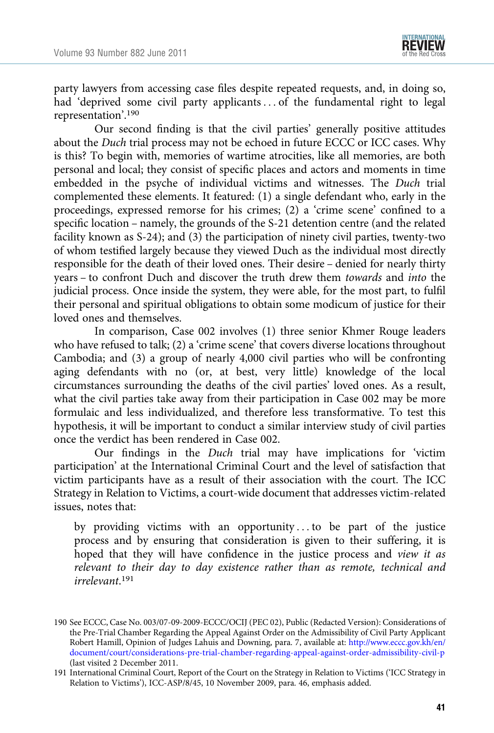

party lawyers from accessing case files despite repeated requests, and, in doing so, had 'deprived some civil party applicants ... of the fundamental right to legal representation'. 190

Our second finding is that the civil parties' generally positive attitudes about the Duch trial process may not be echoed in future ECCC or ICC cases. Why is this? To begin with, memories of wartime atrocities, like all memories, are both personal and local; they consist of specific places and actors and moments in time embedded in the psyche of individual victims and witnesses. The Duch trial complemented these elements. It featured: (1) a single defendant who, early in the proceedings, expressed remorse for his crimes; (2) a 'crime scene' confined to a specific location – namely, the grounds of the S-21 detention centre (and the related facility known as S-24); and (3) the participation of ninety civil parties, twenty-two of whom testified largely because they viewed Duch as the individual most directly responsible for the death of their loved ones. Their desire – denied for nearly thirty years – to confront Duch and discover the truth drew them towards and into the judicial process. Once inside the system, they were able, for the most part, to fulfil their personal and spiritual obligations to obtain some modicum of justice for their loved ones and themselves.

In comparison, Case 002 involves (1) three senior Khmer Rouge leaders who have refused to talk; (2) a 'crime scene' that covers diverse locations throughout Cambodia; and (3) a group of nearly 4,000 civil parties who will be confronting aging defendants with no (or, at best, very little) knowledge of the local circumstances surrounding the deaths of the civil parties' loved ones. As a result, what the civil parties take away from their participation in Case 002 may be more formulaic and less individualized, and therefore less transformative. To test this hypothesis, it will be important to conduct a similar interview study of civil parties once the verdict has been rendered in Case 002.

Our findings in the Duch trial may have implications for 'victim participation' at the International Criminal Court and the level of satisfaction that victim participants have as a result of their association with the court. The ICC Strategy in Relation to Victims, a court-wide document that addresses victim-related issues, notes that:

by providing victims with an opportunity ... to be part of the justice process and by ensuring that consideration is given to their suffering, it is hoped that they will have confidence in the justice process and view it as relevant to their day to day existence rather than as remote, technical and irrelevant. 191

<sup>190</sup> See ECCC, Case No. 003/07-09-2009-ECCC/OCIJ (PEC 02), Public (Redacted Version): Considerations of the Pre-Trial Chamber Regarding the Appeal Against Order on the Admissibility of Civil Party Applicant Robert Hamill, Opinion of Judges Lahuis and Downing, para. 7, available at: [http://www.eccc.gov.kh/en/](http://www.eccc.gov.kh/en/document/court/considerations-pre-trial-chamber-regarding-appeal-against-order-admissibility-civil-p) [document/court/considerations-pre-trial-chamber-regarding-appeal-against-order-admissibility-civil-p](http://www.eccc.gov.kh/en/document/court/considerations-pre-trial-chamber-regarding-appeal-against-order-admissibility-civil-p) (last visited 2 December 2011.

<sup>191</sup> International Criminal Court, Report of the Court on the Strategy in Relation to Victims ('ICC Strategy in Relation to Victims'), ICC-ASP/8/45, 10 November 2009, para. 46, emphasis added.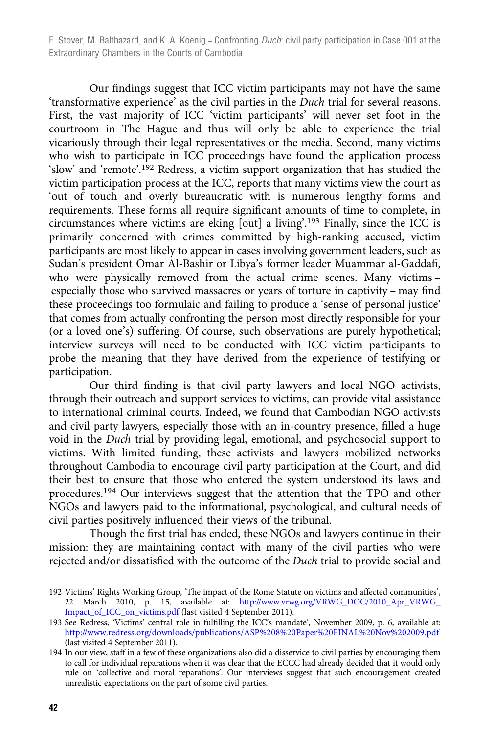Our findings suggest that ICC victim participants may not have the same 'transformative experience' as the civil parties in the Duch trial for several reasons. First, the vast majority of ICC 'victim participants' will never set foot in the courtroom in The Hague and thus will only be able to experience the trial vicariously through their legal representatives or the media. Second, many victims who wish to participate in ICC proceedings have found the application process 'slow' and 'remote'.<sup>192</sup> Redress, a victim support organization that has studied the victim participation process at the ICC, reports that many victims view the court as 'out of touch and overly bureaucratic with is numerous lengthy forms and requirements. These forms all require significant amounts of time to complete, in circumstances where victims are eking [out] a living'. <sup>193</sup> Finally, since the ICC is primarily concerned with crimes committed by high-ranking accused, victim participants are most likely to appear in cases involving government leaders, such as Sudan's president Omar Al-Bashir or Libya's former leader Muammar al-Gaddafi, who were physically removed from the actual crime scenes. Many victims – especially those who survived massacres or years of torture in captivity – may find these proceedings too formulaic and failing to produce a 'sense of personal justice' that comes from actually confronting the person most directly responsible for your (or a loved one's) suffering. Of course, such observations are purely hypothetical; interview surveys will need to be conducted with ICC victim participants to probe the meaning that they have derived from the experience of testifying or participation.

Our third finding is that civil party lawyers and local NGO activists, through their outreach and support services to victims, can provide vital assistance to international criminal courts. Indeed, we found that Cambodian NGO activists and civil party lawyers, especially those with an in-country presence, filled a huge void in the Duch trial by providing legal, emotional, and psychosocial support to victims. With limited funding, these activists and lawyers mobilized networks throughout Cambodia to encourage civil party participation at the Court, and did their best to ensure that those who entered the system understood its laws and procedures.<sup>194</sup> Our interviews suggest that the attention that the TPO and other NGOs and lawyers paid to the informational, psychological, and cultural needs of civil parties positively influenced their views of the tribunal.

Though the first trial has ended, these NGOs and lawyers continue in their mission: they are maintaining contact with many of the civil parties who were rejected and/or dissatisfied with the outcome of the Duch trial to provide social and

<sup>192</sup> Victims' Rights Working Group, 'The impact of the Rome Statute on victims and affected communities', 22 March 2010, p. 15, available at: [http://www.vrwg.org/VRWG\\_DOC/2010\\_Apr\\_VRWG\\_](http://www.vrwg.org/VRWG_DOC/2010_Apr_VRWG_Impact_of_ICC_on_victims.pdf) [Impact\\_of\\_ICC\\_on\\_victims.pdf](http://www.vrwg.org/VRWG_DOC/2010_Apr_VRWG_Impact_of_ICC_on_victims.pdf) (last visited 4 September 2011).

<sup>193</sup> See Redress, 'Victims' central role in fulfilling the ICC's mandate', November 2009, p. 6, available at: <http://www.redress.org/downloads/publications/ASP%208%20Paper%20FINAL%20Nov%202009.pdf> (last visited 4 September 2011).

<sup>194</sup> In our view, staff in a few of these organizations also did a disservice to civil parties by encouraging them to call for individual reparations when it was clear that the ECCC had already decided that it would only rule on 'collective and moral reparations'. Our interviews suggest that such encouragement created unrealistic expectations on the part of some civil parties.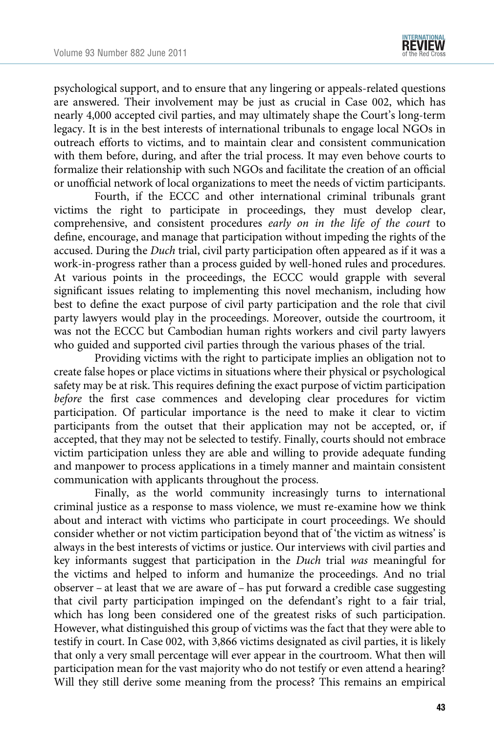

psychological support, and to ensure that any lingering or appeals-related questions are answered. Their involvement may be just as crucial in Case 002, which has nearly 4,000 accepted civil parties, and may ultimately shape the Court's long-term legacy. It is in the best interests of international tribunals to engage local NGOs in outreach efforts to victims, and to maintain clear and consistent communication with them before, during, and after the trial process. It may even behove courts to formalize their relationship with such NGOs and facilitate the creation of an official or unofficial network of local organizations to meet the needs of victim participants.

Fourth, if the ECCC and other international criminal tribunals grant victims the right to participate in proceedings, they must develop clear, comprehensive, and consistent procedures early on in the life of the court to define, encourage, and manage that participation without impeding the rights of the accused. During the Duch trial, civil party participation often appeared as if it was a work-in-progress rather than a process guided by well-honed rules and procedures. At various points in the proceedings, the ECCC would grapple with several significant issues relating to implementing this novel mechanism, including how best to define the exact purpose of civil party participation and the role that civil party lawyers would play in the proceedings. Moreover, outside the courtroom, it was not the ECCC but Cambodian human rights workers and civil party lawyers who guided and supported civil parties through the various phases of the trial.

Providing victims with the right to participate implies an obligation not to create false hopes or place victims in situations where their physical or psychological safety may be at risk. This requires defining the exact purpose of victim participation before the first case commences and developing clear procedures for victim participation. Of particular importance is the need to make it clear to victim participants from the outset that their application may not be accepted, or, if accepted, that they may not be selected to testify. Finally, courts should not embrace victim participation unless they are able and willing to provide adequate funding and manpower to process applications in a timely manner and maintain consistent communication with applicants throughout the process.

Finally, as the world community increasingly turns to international criminal justice as a response to mass violence, we must re-examine how we think about and interact with victims who participate in court proceedings. We should consider whether or not victim participation beyond that of 'the victim as witness' is always in the best interests of victims or justice. Our interviews with civil parties and key informants suggest that participation in the Duch trial was meaningful for the victims and helped to inform and humanize the proceedings. And no trial observer – at least that we are aware of – has put forward a credible case suggesting that civil party participation impinged on the defendant's right to a fair trial, which has long been considered one of the greatest risks of such participation. However, what distinguished this group of victims was the fact that they were able to testify in court. In Case 002, with 3,866 victims designated as civil parties, it is likely that only a very small percentage will ever appear in the courtroom. What then will participation mean for the vast majority who do not testify or even attend a hearing? Will they still derive some meaning from the process? This remains an empirical